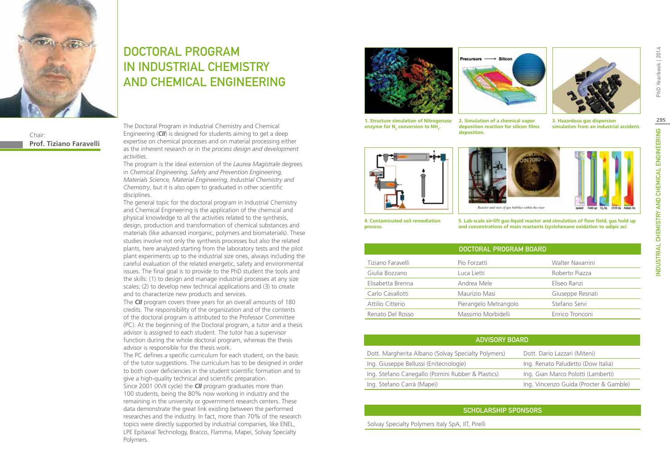

Chair: **Prof. Tiziano Faravelli**

# DOCTORAL PROGRAM IN INDUSTRIAL CHEMISTRY AND CHEMICAL ENGINEERING

The Doctoral Program in Industrial Chemistry and Chemical Engineering (*CII*) is designed for students aiming to get a deep expertise on chemical processes and on material processing either as the inherent research or in the *process design and development activities*.

The program is the ideal extension of the *Laurea Magistrale* degrees in *Chemical Engineering, Safety and Prevention Engineering, Materials Science, Material Engineering, Industrial Chemistry and Chemistry*, but it is also open to graduated in other scientific disciplines.

The general topic for the doctoral program in Industrial Chemistry and Chemical Engineering is the application of the chemical and physical knowledge to all the activities related to the synthesis, design, production and transformation of chemical substances and materials (like advanced inorganic, polymers and biomaterials). These studies involve not only the synthesis processes but also the related plants, here analyzed starting from the laboratory tests and the pilot plant experiments up to the industrial size ones, always including the careful evaluation of the related energetic, safety and environmental issues. The final goal is to provide to the PhD student the tools and the skills: (1) to design and manage industrial processes at any size scales; (2) to develop new technical applications and (3) to create and to characterize new products and services.

The *CII* program covers three years for an overall amounts of 180 credits. The responsibility of the organization and of the contents of the doctoral program is attributed to the Professor Committee (PC). At the beginning of the Doctoral program, a tutor and a thesis advisor is assigned to each student. The tutor has a supervisor function during the whole doctoral program, whereas the thesis advisor is responsible for the thesis work.

The PC defines a specific curriculum for each student, on the basis of the tutor suggestions. The curriculum has to be designed in order to both cover deficiencies in the student scientific formation and to give a high-quality technical and scientific preparation. Since 2001 (XVII cycle) the *CII* program graduates more than 100 students, being the 80% now working in industry and the remaining in the university or government research centers. These data demonstrate the great link existing between the performed researches and the industry. In fact, more than 70% of the research topics were directly supported by industrial companies, like ENEL, LPE Epitaxial Technology, Bracco, Flamma, Mapei, Solvay Specialty Polymers.



**1. Structure simulation of Nitrogenase**  enzyme for N<sub>2</sub> conversion to NH<sub>3</sub>.



**deposition reaction for silicon films** 

**deposition.**



**2. Simulation of a chemical vapor** 

**3. Hazardous gas dispersion simulation from an industrial accident.**







**4. Contaminated soil remediation process.**

**5. Lab-scale air-lift gas-liquid reactor and simulation of flow field, gas hold up and concentrations of main reactants (cyclohexane oxidation to adipic aci**

|                   | DOCTORAL PROGRAM BOARD |                  |
|-------------------|------------------------|------------------|
| Tiziano Faravelli | Pio Forzatti           | Walter Navarrini |
| Giulia Bozzano    | Luca Lietti            | Roberto Piazza   |
| Elisabetta Brenna | Andrea Mele            | Eliseo Ranzi     |
| Carlo Cavallotti  | Maurizio Masi          | Giuseppe Resnati |
| Attilio Citterio  | Pierangelo Metrangolo  | Stefano Servi    |
| Renato Del Rosso  | Massimo Morbidelli     | Enrico Tronconi  |

| <b>ADVISORY BOARD</b>                               |                                        |  |  |  |
|-----------------------------------------------------|----------------------------------------|--|--|--|
| Dott. Margherita Albano (Solvay Specialty Polymers) | Dott. Dario Lazzari (Miteni)           |  |  |  |
| Ing. Giuseppe Bellussi (Enitecnologie)              | Ing. Renato Paludetto (Dow Italia)     |  |  |  |
| Ing. Stefano Canegallo (Pomini Rubber & Plastics)   | Ing. Gian Marco Polotti (Lamberti)     |  |  |  |
| Ing. Stefano Carrà (Mapei)                          | Ing. Vincenzo Guida (Procter & Gamble) |  |  |  |

### Scholarship Sponsors

Solvay Specialty Polymers Italy SpA, IIT, Pirelli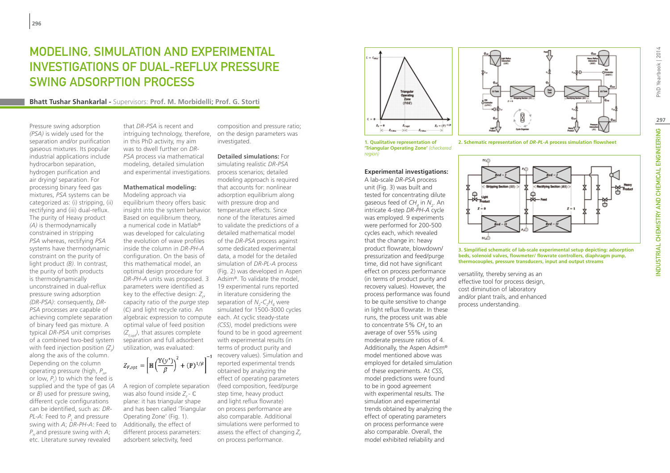# Modeling, Simulation and Experimental Investigations of Dual-Reflux Pressure Swing Adsorption Process

**Bhatt Tushar Shankarlal -** Supervisors: **Prof. M. Morbidelli; Prof. G. Storti**

Pressure swing adsorption *(PSA)* is widely used for the separation and/or purification gaseous mixtures. Its popular industrial applications include hydrocarbon separation, hydrogen purification and air drying/ separation. For processing binary feed gas mixtures, *PSA* systems can be categorized as: (i) stripping, (ii) rectifying and (iii) dual-reflux. The purity of Heavy product *(A)* is thermodynamically constrained in stripping *PSA* whereas, rectifying *PSA* systems have thermodynamic constraint on the purity of light product *(B)*. In contrast, the purity of both products is thermodynamically unconstrained in dual-reflux pressure swing adsorption *(DR-PSA)*: consequently, *DR-PSA* processes are capable of achieving complete separation of binary feed gas mixture. A typical *DR-PSA* unit comprises of a combined two-bed system with feed injection position  $(Z_\rho^{})$ along the axis of the column. Depending on the column operating pressure (high,  $P_{\mu}$ , or low,  $P_{L}$ ) to which the feed is supplied and the type of gas (*A* or *B*) used for pressure swing, different cycle configurations can be identified, such as: *DR-PL-A*: Feed to  $P_{\iota}$  and pressure swing with *A*; *DR-PH-A*: Feed to *P<sub>u</sub>* and pressure swing with *A*; etc. Literature survey revealed

that *DR-PSA* is recent and intriguing technology, therefore, on the design parameters was in this PhD activity, my aim was to dwell further on *DR-PSA* process via mathematical modeling, detailed simulation and experimental investigations.

#### **Mathematical modeling:**

Modeling approach via equilibrium theory offers basic insight into the system behavior. Based on equilibrium theory, a numerical code in Matlab® was developed for calculating the evolution of wave profiles inside the column in *DR-PH-A* configuration. On the basis of this mathematical model, an optimal design procedure for *DR-PH-A* units was proposed. 3 parameters were identified as key to the effective design:  $Z_{\mu\nu}^{\phantom{\dag}}$ capacity ratio of the *purge* step (ℂ) and light recycle ratio. An algebraic expression to compute each. At cyclic steady-state optimal value of feed position  $(Z<sub>for</sub>)$ , that assures complete separation and full adsorbent utilization, was evaluated:

 $Z_{F,opt} = \left[\mathbb{H}\left(\frac{\mathbb{Y}(y^*)}{\beta}\right)^2 + (\mathbb{P})^{1/\beta}\right]^{-1}$ 

A region of complete separation was also found inside Z<sub>c</sub>- **C** plane: it has triangular shape and has been called 'Triangular Operating Zone' (Fig. 1). Additionally, the effect of different process parameters: adsorbent selectivity, feed

composition and pressure ratio; investigated.

**Detailed simulations:** For simulating realistic *DR-PSA* process scenarios; detailed modeling approach is required that accounts for: nonlinear adsorption equilibrium along with pressure drop and temperature effects. Since none of the literatures aimed to validate the predictions of a detailed mathematical model of the *DR-PSA* process against some dedicated experimental data, a model for the detailed simulation of *DR-PL-A* process (Fig. 2) was developed in Aspen Adsim®. To validate the model, 19 experimental runs reported in literature considering the separation of  $N_2$ - $C_2H_6$  were simulated for 1500-3000 cycles *(CSS)*, model predictions were found to be in good agreement with experimental results (in terms of product purity and -1 recovery values). Simulation and reported experimental trends obtained by analyzing the effect of operating parameters (feed composition, feed/purge step time, heavy product and light reflux flowrate) on process performance are also comparable. Additional simulations were performed to assess the effect of changing  $Z_c$ on process performance.



**1. Qualitative representation of 'Triangular Operating Zone'** *(checkered region)*

#### **Experimental investigations:**

A lab-scale *DR-PSA* process unit (Fig. 3) was built and tested for concentrating dilute gaseous feed of *CH<sub>4</sub>* in N<sub>2</sub>. An intricate 4-step *DR-PH-A* cycle was employed. 9 experiments were performed for 200-500 cycles each, which revealed that the change in: heavy product flowrate, blowdown/ pressurization and feed/purge time, did not have significant effect on process performance (in terms of product purity and recovery values). However, the process performance was found to be quite sensitive to change in light reflux flowrate. In these runs, the process unit was able to concentrate 5% CH<sub>4</sub> to an average of over 55% using moderate pressure ratios of 4. Additionally, the Aspen Adsim® model mentioned above was employed for detailed simulation of these experiments. At *CSS*, model predictions were found to be in good agreement with experimental results. The simulation and experimental trends obtained by analyzing the effect of operating parameters on process performance were also comparable. Overall, the model exhibited reliability and



**2. Schematic representation of** *DR-PL-A* **process simulation flowsheet**



**3. Simplified schematic of lab-scale experimental setup depicting: adsorption beds, solenoid valves, flowmeter/ flowrate controllers, diaphragm pump, thermocouples, pressure transducers, input and output streams**

versatility, thereby serving as an effective tool for process design, cost diminution of laboratory and/or plant trails, and enhanced process understanding.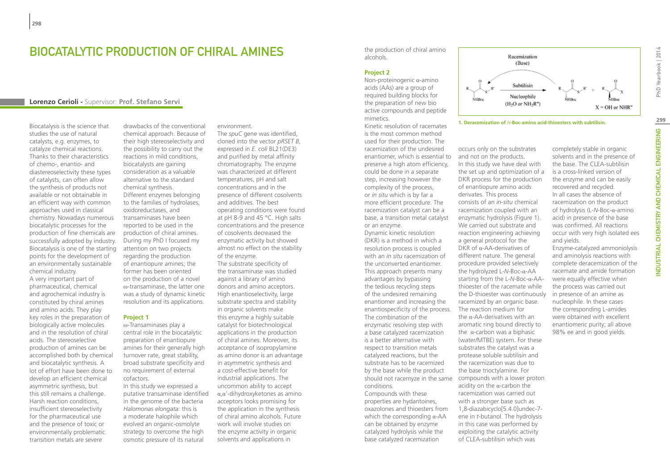### Biocatalytic production of chiral amines

### **Lorenzo Cerioli -** Supervisor: **Prof. Stefano Servi**

Biocatalysis is the science that studies the use of natural catalysts, e.g. enzymes, to catalyze chemical reactions. Thanks to their characteristics of chemo-, enantio- and diastereoselectivity these types of catalysts, can often allow the synthesis of products not available or not obtainable in an efficient way with common approaches used in classical chemistry. Nowadays numerous biocatalytic processes for the production of fine chemicals are successfully adopted by industry. Biocatalysis is one of the starting points for the development of an environmentally sustainable chemical industry.

A very important part of pharmaceutical, chemical and agrochemical industry is constituted by chiral amines and amino acids. They play key roles in the preparation of biologically active molecules and in the resolution of chiral acids. The stereoselective production of amines can be accomplished both by chemical and biocatalytic synthesis. A lot of effort have been done to develop an efficient chemical asymmetric synthesis, but this still remains a challenge. Harsh reaction conditions, insufficient stereoselectivity for the pharmaceutical use and the presence of toxic or environmentally problematic transition metals are severe

drawbacks of the conventional chemical approach. Because of their high stereoselectivity and the possibility to carry out the reactions in mild conditions, biocatalysts are gaining consideration as a valuable alternative to the standard chemical synthesis. Different enzymes belonging to the families of hydrolases, oxidoreductases, and transaminases have been reported to be used in the production of chiral amines. During my PhD I focused my attention on two projects regarding the production of enantiopure amines; the former has been oriented on the production of a novel ω-transaminase, the latter one was a study of dynamic kinetic resolution and its applications.

#### **Project 1**

ω-Transaminases play a central role in the biocatalytic preparation of enantiopure amines for their generally high turnover rate, great stability, broad substrate specificity and no requirement of external cofactors.

In this study we expressed a putative transaminase identified in the genome of the bacteria *Halomonas elongata*: this is a moderate halophile which evolved an organic-osmolyte strategy to overcome the high osmotic pressure of its natural

environment.

The *spuC* gene was identified. cloned into the vector *pRSET B*, expressed in *E. coli* BL21(DE3) and purified by metal affinity chromatography. The enzyme was characterized at different temperatures, pH and salt concentrations and in the presence of different cosolvents and additives. The best operating conditions were found at pH 8-9 and 45 °C. High salts concentrations and the presence of cosolvents decreased the enzymatic activity but showed almost no effect on the stability of the enzyme. The substrate specificity of the transaminase was studied against a library of amino donors and amino acceptors. High enantioselectivity, large substrate spectra and stability in organic solvents make this enzyme a highly suitable catalyst for biotechnological applications in the production of chiral amines. Moreover, its acceptance of isopropylamine as amino donor is an advantage in asymmetric synthesis and a cost-effective benefit for industrial applications. The uncommon ability to accept α,α'-dihydroxyketones as amino acceptors looks promising for the application in the synthesis of chiral amino alcohols. Future work will involve studies on the enzyme activity in organic solvents and applications in

the production of chiral amino alcohols.

#### **Project 2**

Non-proteinogenic α-amino acids (AAs) are a group of required building blocks for the preparation of new bio active compounds and peptide mimetics.

Kinetic resolution of racemates is the most common method used for their production. The racemization of the undesired enantiomer, which is essential to preserve a high atom efficiency, could be done in a separate step, increasing however the complexity of the process, or *in situ* which is by far a more efficient procedure. The racemization catalyst can be a base, a transition metal catalyst or an enzyme.

Dynamic kinetic resolution (DKR) is a method in which a resolution process is coupled with an *in situ* racemization of the unconverted enantiomer. This approach presents many advantages by bypassing the tedious recycling steps of the undesired remaining enantiomer and increasing the enantiospecificity of the process. The combination of the enzymatic resolving step with a base catalyzed racemization is a better alternative with respect to transition metals catalyzed reactions, but the substrate has to be racemized by the base while the product conditions.

Compounds with these properties are hydantoines, oxazolones and thioesters from which the corresponding  $\alpha$ -AA can be obtained by enzyme catalyzed hydrolysis while the base catalyzed racemization



**1. Deracemization of** *N***-Boc-amino acid-thioesters with subtilisin.**

should not racemyze in the same compounds with a lower proton occurs only on the substrates and not on the products. In this study we have deal with the set up and optimization of a DKR process for the production of enantiopure amino acids derivates. This process consists of an *in-situ* chemical racemization coupled with an enzymatic hydrolysis (Figure 1). We carried out substrate and reaction engineering achieving a general protocol for the DKR of α-AA-derivatives of different nature. The general procedure provided selectively the hydrolyzed L-*N*-Boc-α-AA starting from the L-*N*-Boc-α-AAthioester of the racemate while the D-thioester was continuously racemized by an organic base. The reaction medium for the α-AA-derivatives with an aromatic ring bound directly to the α-carbon was a biphasic (water/MTBE) system. For these substrates the catalyst was a protease soluble subtilisin and the racemization was due to the base trioctylamine. For acidity on the  $\alpha$ -carbon the racemization was carried out with a stronger base such as 1,8-diazabicyclo[5.4.0]undec-7 ene in *t*-butanol. The hydrolysis in this case was performed by exploiting the catalytic activity of CLEA-subtilisin which was

completely stable in organic solvents and in the presence of the base. The CLEA-subtilisin is a cross-linked version of the enzyme and can be easily recovered and recycled. In all cases the absence of racemization on the product of hydrolysis (L-*N*-Boc-α-amino acid) in presence of the base was confirmed. All reactions occur with very high isolated ees and yields.

Enzyme-catalyzed ammoniolysis and aminolysis reactions with complete deracemization of the racemate and amide formation were equally effective when the process was carried out in presence of an amine as nucleophile. In these cases the corresponding L-amides were obtained with excellent enantiomeric purity; all above 98% ee and in good yields.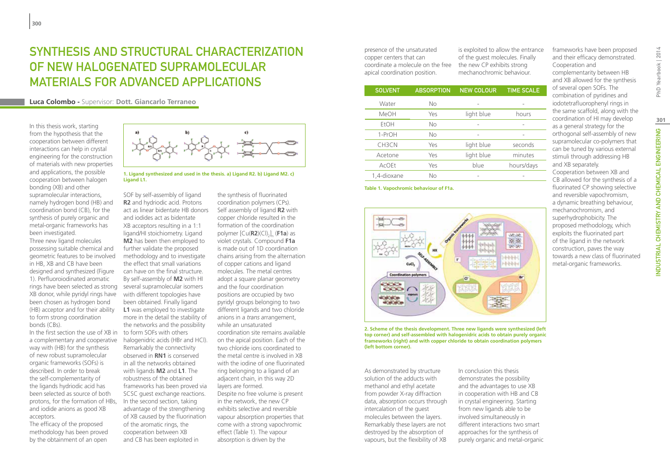# Synthesis and structural characterization of new halogenated supramolecular materials for advanced applications

**Luca Colombo -** Supervisor: **Dott. Giancarlo Terraneo**

In this thesis work, starting from the hypothesis that the cooperation between different interactions can help in crystal engineering for the construction of materials with new properties and applications, the possible cooperation between halogen bonding (XB) and other supramolecular interactions, namely hydrogen bond (HB) and coordination bond (CB), for the synthesis of purely organic and metal-organic frameworks has been investigated. Three new ligand molecules possessing suitable chemical and geometric features to be involved in HB, XB and CB have been designed and synthesized (Figure 1). Perfluoroiodinated aromatic rings have been selected as strong XB donor, while pyridyl rings have been chosen as hydrogen bond (HB) acceptor and for their ability to form strong coordination bonds (CBs).

In the first section the use of XB in to form SOFs with others a complementary and cooperative way with (HB) for the synthesis of new robust supramolecular organic frameworks (SOFs) is described. In order to break the self-complementarity of the ligands hydriodic acid has been selected as source of both protons, for the formation of HBs, In the second section, taking and iodide anions as good XB acceptors.

The efficacy of the proposed methodology has been proved by the obtainment of an open



1. Ligand synthesized and used in the thesis. a) Ligand R2. b) Ligand M2. c) **Ligand L1.**

SOF by self-assembly of ligand **R2** and hydriodic acid. Protons act as linear bidentate HB donors and iodides act as bidentate XB acceptors resulting in a 1:1 ligand/HI stoichiometry. Ligand **M2** has been then employed to further validate the proposed methodology and to investigate the effect that small variations can have on the final structure. By self-assembly of **M2** with HI several supramolecular isomers with different topologies have been obtained. Finally ligand **L1** was employed to investigate more in the detail the stability of the networks and the possibility halogenidric acids (HBr and HCl). Remarkably the connectivity observed in **RN1** is conserved in all the networks obtained with ligands **M2** and **L1**. The robustness of the obtained frameworks has been proved via SCSC guest exchange reactions. advantage of the strengthening of XB caused by the fluorination of the aromatic rings, the cooperation between XB and CB has been exploited in

the synthesis of fluorinated coordination polymers (CPs). Self assembly of ligand **R2** with copper chloride resulted in the formation of the coordination polymer [Cu(**R2**)(Cl)<sub>2</sub>]<sub>n</sub> (**F1a**) as n violet crystals. Compound **F1a** is made out of 1D coordination chains arising from the alternation of copper cations and ligand molecules. The metal centres adopt a square planar geometry and the four coordination positions are occupied by two pyridyl groups belonging to two different ligands and two chloride anions in a *trans* arrangement, while an unsaturated coordination site remains available on the apical position. Each of the two chloride ions coordinated to the metal centre is involved in XB with the iodine of one fluorinated ring belonging to a ligand of an adjacent chain, in this way 2D layers are formed. Despite no free volume is present in the network, the new CP exhibits selective and reversible vapour absorption properties that come with a strong vapochromic effect (Table 1). The vapour absorption is driven by the

presence of the unsaturated copper centers that can coordinate a molecule on the free apical coordination position.

is exploited to allow the entrance of the guest molecules. Finally the new CP exhibits strong mechanochromic behaviour.

| <b>SOLVENT</b> | <b>ABSORPTION</b> | <b>NEW COLOUR</b>        | <b>TIME SCALE</b> |
|----------------|-------------------|--------------------------|-------------------|
| Water          | No                |                          |                   |
| <b>MeOH</b>    | Yes               | light blue               | hours             |
| <b>EtOH</b>    | <b>No</b>         |                          |                   |
| 1-PrOH         | No                | $\overline{\phantom{0}}$ |                   |
| CH3CN          | Yes               | light blue               | seconds           |
| Acetone        | Yes               | light blue               | minutes           |
| <b>AcOEt</b>   | Yes               | blue                     | hours/days        |
| 1,4-dioxane    | No                |                          |                   |

**Table 1. Vapochromic behaviour of F1a.**



**2. Scheme of the thesis development. Three new ligands were synthesized (left top corner) and self-assembled with halogenidric acids to obtain purely organic frameworks (right) and with copper chloride to obtain coordination polymers (left bottom corner).**

As demonstrated by structure solution of the adducts with methanol and ethyl acetate from powder X-ray diffraction data, absorption occurs through intercalation of the guest molecules between the layers. Remarkably these layers are not destroyed by the absorption of vapours, but the flexibility of XB

In conclusion this thesis demonstrates the possibility and the advantages to use XB in cooperation with HB and CB in crystal engineering. Starting from new ligands able to be involved simultaneously in different interactions two smart approaches for the synthesis of purely organic and metal-organic frameworks have been proposed and their efficacy demonstrated. Cooperation and complementarity between HB and XB allowed for the synthesis of several open SOFs. The combination of pyridines and iodotetrafluorophenyl rings in the same scaffold, along with the coordination of HI may develop as a general strategy for the orthogonal self-assembly of new supramolecular co-polymers that can be tuned by various external stimuli through addressing HB and XB separately. Cooperation between XB and CB allowed for the synthesis of a fluorinated CP showing selective and reversible vapochromism, a dynamic breathing behaviour, mechanochromism, and superhydrophobicity. The proposed methodology, which exploits the fluorinated part of the ligand in the network construction, paves the way towards a new class of fluorinated metal-organic frameworks.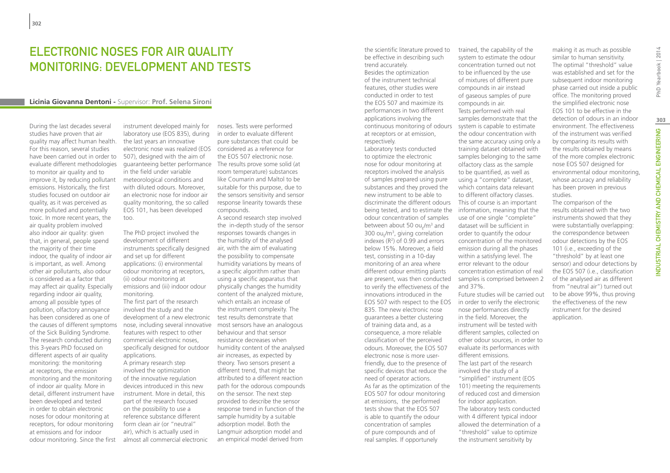# ELECTRONIC NOSES FOR AIR QUALITY MONITORING: DEVELOPMENT AND TESTS

#### **Licinia Giovanna Dentoni -** Supervisor: **Prof. Selena Sironi**

During the last decades several studies have proven that air quality may affect human health. For this reason, several studies have been carried out in order to evaluate different methodologies to monitor air quality and to improve it, by reducing pollutant emissions. Historically, the first studies focused on outdoor air quality, as it was perceived as more polluted and potentially toxic. In more recent years, the air quality problem involved also indoor air quality: given that, in general, people spend the majority of their time indoor, the quality of indoor air is important, as well. Among other air pollutants, also odour is considered as a factor that may affect air quality. Especially regarding indoor air quality, among all possible types of pollution, olfactory annoyance has been considered as one of the causes of different symptoms of the Sick Building Syndrome. The research conducted during this 3-years PhD focused on different aspects of air quality monitoring: the monitoring at receptors, the emission monitoring and the monitoring of indoor air quality. More in detail, different instrument have been developed and tested in order to obtain electronic noses for odour monitoring at receptors, for odour monitoring at emissions and for indoor odour monitoring. Since the first

instrument developed mainly for laboratory use (EOS 835), during the last years an innovative electronic nose was realized (EOS considered as a reference for 507), designed with the aim of guaranteeing better performance The results prove some solid (at in the field under variable meteorological conditions and with diluted odours. Moreover, an electronic nose for indoor air quality monitoring, the so called EOS 101, has been developed too.

The PhD project involved the development of different instruments specifically designed and set up for different applications: (i) environmental odour monitoring at receptors, (ii) odour monitoring at emissions and (iii) indoor odour monitoring.

The first part of the research involved the study and the development of a new electronic features with respect to other commercial electronic noses, specifically designed for outdoor applications.

A primary research step involved the optimization of the innovative regulation devices introduced in this new instrument. More in detail, this part of the research focused on the possibility to use a reference substance different form clean air (or "neutral" air), which is actually used in almost all commercial electronic

noses. Tests were performed in order to evaluate different pure substances that could be the EOS 507 electronic nose. room temperature) substances like Coumarin and Maltol to be suitable for this purpose, due to the sensors sensitivity and sensor response linearity towards these compounds.

nose, including several innovative most sensors have an analogous A second research step involved the in-depth study of the sensor responses towards changes in the humidity of the analysed air, with the aim of evaluating the possibility to compensate humidity variations by means of a specific algorithm rather than using a specific apparatus that physically changes the humidity content of the analyzed mixture, which entails an increase of the instrument complexity. The test results demonstrate that behaviour and that sensor resistance decreases when humidity content of the analysed air increases, as expected by theory. Two sensors present a different trend, that might be attributed to a different reaction path for the odorous compounds on the sensor. The next step provided to describe the sensor response trend in function of the sample humidity by a suitable adsorption model. Both the Langmuir adsorption model and an empirical model derived from

features, other studies were conducted in order to test the EOS 507 and maximize its performances in two different applications involving the continuous monitoring of odours at receptors or at emission, respectively. Laboratory tests conducted to optimize the electronic nose for odour monitoring at receptors involved the analysis of samples prepared using pure substances and they proved the new instrument to be able to discriminate the different odours being tested, and to estimate the information, meaning that the odour concentration of samples between about 50 ou<sub>E</sub>/m<sup>3</sup> and 300 ou $_{E}$ /m<sup>3</sup>, giving correlation indexes  $(R^2)$  of 0.99 and errors below 15%. Moreover, a field test, consisting in a 10-day monitoring of an area where different odour emitting plants are present, was then conducted to verify the effectiveness of the innovations introduced in the EOS 507 with respect to the EOS 835. The new electronic nose guarantees a better clustering of training data and, as a consequence, a more reliable classification of the perceived odours. Moreover, the EOS 507 electronic nose is more userfriendly, due to the presence of specific devices that reduce the need of operator actions. As far as the optimization of the EOS 507 for odour monitoring at emissions, the performed tests show that the EOS 507 is able to quantify the odour concentration of samples of pure compounds and of real samples. If opportunely

the scientific literature proved to be effective in describing such

trend accurately. Besides the optimization of the instrument technical

trained, the capability of the system to estimate the odour concentration turned out not to be influenced by the use of mixtures of different pure compounds in air instead of gaseous samples of pure compounds in air. Tests performed with real samples demonstrate that the system is capable to estimate the odour concentration with the same accuracy using only a training dataset obtained with samples belonging to the same olfactory class as the sample to be quantified, as well as using a "complete" dataset, which contains data relevant to different olfactory classes. This of course is an important use of one single "complete" dataset will be sufficient in order to quantify the odour concentration of the monitored emission during all the phases within a satisfying level. The error relevant to the odour concentration estimation of real samples is comprised between 2 and 37%. Future studies will be carried out in order to verify the electronic nose performances directly in the field. Moreover, the instrument will be tested with different samples, collected on

other odour sources, in order to evaluate its performances with different emissions. The last part of the research involved the study of a "simplified" instrument (EOS 101) meeting the requirements of reduced cost and dimension for indoor application. The laboratory tests conducted with 4 different typical indoor allowed the determination of a "threshold" value to optimize the instrument sensitivity by

making it as much as possible similar to human sensitivity. The optimal "threshold" value was established and set for the subsequent indoor monitoring phase carried out inside a public office. The monitoring proved the simplified electronic nose EOS 101 to be effective in the detection of odours in an indoor environment. The effectiveness of the instrument was verified by comparing its results with the results obtained by means of the more complex electronic nose EOS 507 designed for environmental odour monitoring, whose accuracy and reliability has been proven in previous studies.

The comparison of the results obtained with the two instruments showed that they were substantially overlapping: the correspondence between odour detections by the EOS 101 (i.e., exceeding of the "threshold" by at least one sensor) and odour detections by the EOS 507 (i.e., classification of the analysed air as different from "neutral air") turned out to be above 99%, thus proving the effectiveness of the new instrument for the desired application.

**303**

NDUSTRIAL CHEMISTRY AND CHEMICAL ENGINEERING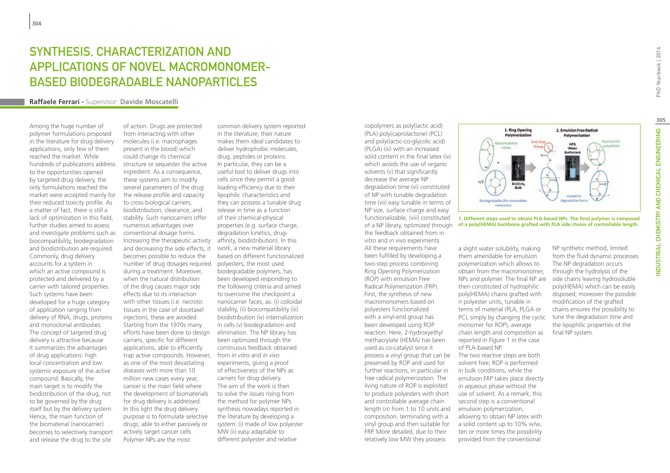# Synthesis, Characterization and Applications of Novel Macromonomerbased Biodegradable Nanoparticles

#### **Raffaele Ferrari -** Supervisor: **Davide Moscatelli**

Among the huge number of polymer formulations proposed in the literature for drug delivery applications, only few of them reached the market. While hundreds of publications address to the opportunities opened by targeted drug delivery, the only formulations reached the market were accepted mainly for their reduced toxicity profile. As a matter of fact, there is still a lack of optimization in this field, further studies aimed to assess and investigate problems such as biocompatibility, biodegradation and biodistribution are required. Commonly, drug delivery accounts for a system in which an active compound is protected and delivered by a carrier with tailored properties. Such systems have been developed for a huge category of application ranging from delivery of RNA, drugs, proteins and monoclonal antibodies. The concept of targeted drug delivery is attractive because it summarizes the advantages of drug applications: high local concentration and low systemic exposure of the active compound. Basically, the main target is to modify the biodistribution of the drug, not to be governed by the drug itself but by the delivery system. Hence, the main function of the biomaterial (nanocarrier) becomes to selectively transport and release the drug to the site

of action. Drugs are protected from interacting with other molecules (i.e. macrophages present in the blood) which could change its chemical structure or sequester the active ingredient. As a consequence, these systems aim to modify several parameters of the drug: the release profile and capacity to cross biological carriers, biodistribution, clearance, and stability. Such nanocarriers offer numerous advantages over conventional dosage forms. Increasing the therapeutic activity affinity, biodistribution). In this and decreasing the side effects, it becomes possible to reduce the number of drug dosages required polyesters, the most used during a treatment. Moreover, when the natural distribution of the drug causes major side effects due to its interaction with other tissues (i.e. necrotic tissues in the case of docetaxel injection), these are avoided. Starting from the 1970s many efforts have been done to design carriers, specific for different applications, able to efficiently trap active compounds. However, as one of the most devastating diseases with more than 10 million new cases every year, cancer is the main field where the development of biomaterials for drug delivery is addressed. In this light the drug delivery purpose is to formulate selective drugs, able to either passively or actively target cancer cells. Polymer NPs are the most

common delivery system reported in the literature; their nature makes them ideal candidates to deliver hydrophobic molecules, drug, peptides or proteins. In particular, they can be a useful tool to deliver drugs into cells since they permit a good loading efficiency due to their lipophilic characteristics and they can possess a tunable drug release in time as a function of their chemical-physical properties (e.g. surface charge, degradation kinetics, drugwork, a new material library based on different functionalized biodegradable polymers, has been developed responding to the following criteria and aimed to overcome the checkpoint a nanocarrier faces, as: (i) colloidal stability, (ii) biocompatibility (iii) biodistribution (iv) internalization in cells (v) biodegradation and elimination. The NP library has been optimized through the continuous feedback obtained from *in vitro* and *in vivo* experiments, giving a proof of effectiveness of the NPs as carriers for drug delivery. The aim of the work is then to solve the issues rising from the method for polymer NPs synthesis nowadays reported in the literature by developing a system: (i) made of low polyester MW (ii) easy adaptable to different polyester and relative

copolymers as poly(lactic acid) (PLA) poly(caprolactone) (PCL) and poly(lactic-co-glycolic acid) (PLGA) (iii) with an increased solid content in the final latex (iv) which avoids the use of organic solvents (v) that significantly decrease the average NP degradation time (vi) constituted of NP with tunable degradation time (vii) easy tunable in terms of NP size, surface charge and easy functionalizable, (viii) constituted the feedback obtained from in vitro and in vivo experiments. All these requirements have been fulfilled by developing a two-step process combining Ring Opening Polymerization (ROP) with emulsion Free Radical Polymerization (FRP). First, the synthesis of new macromonomers based on polyesters functionalized with a vinyl-end group has been developed using ROP reaction. Here, 2-hydroxyethyl methacrylate (HEMA) has been used as co-catalyst since it possess a vinyl group that can be preserved by ROP and used for further reactions, in particular in free radical polymerization. The living nature of ROP is exploited to produce polyesters with short and controllable average chain length (*n*) from 1 to 10 units and composition, terminating with a vinyl group and then suitable for FRP. More detailed, due to their relatively low MW they possess



of a NP library, optimized through **of a poly(HEMA) backbone grafted with PLA side chains of controllable length.1. Different steps used to obtain PLA-based NPs. The final polymer is composed** 

a slight water solubility, making them amendable for emulsion polymerization which allows to obtain from the macromonomer, NPs and polymer. The final NP are then constituted of hydrophilic poly(HEMA) chains grafted with *n* polyester units, tunable in terms of material (PLA, PLGA or PCL simply by changing the cyclic monomer for ROP), average chain length and composition as reported in Figure 1 in the case of PLA-based NP.

The two reactive steps are both solvent free; ROP is performed in bulk conditions, while the emulsion FRP takes place directly in aqueous phase without the use of solvent. As a remark, this second step is a conventional emulsion polymerization, allowing to obtain NP latex with a solid content up to 10% w/w, ten or more times the possibility provided from the conventional

NP synthetic method, limited from the fluid dynamic processes. The NP degradation occurs through the hydrolysis of the side chains leaving hydrosoluble poly(HEMA) which can be easily disposed; moreover the possible modification of the grafted chains ensures the possibility to tune the degradation time and the lipophilic properties of the final NP system.

**305**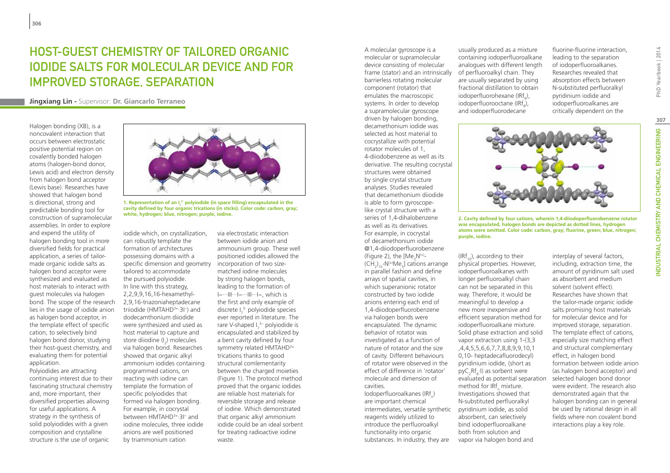# Host-Guest Chemistry of Tailored Organic Iodide Salts for Molecular Device and for Improved Storage, Separation

**Jingxiang Lin -** Supervisor: **Dr. Giancarlo Terraneo**

Halogen bonding (XB), is a noncovalent interaction that occurs between electrostatic positive potential region on covalently bonded halogen atoms (halogen-bond donor, Lewis acid) and electron density from halogen bond acceptor (Lewis base). Researches have showed that halogen bond is directional, strong and predictable bonding tool for construction of supramolecular assemblies. In order to explore and expend the utility of halogen bonding tool in more diversified fields for practical application, a series of tailormade organic iodide salts as halogen bond acceptor were synthesized and evaluated as host materials to interact with guest molecules via halogen bond. The scope of the research lies in the usage of iodide anion as halogen bond acceptor, in the template effect of specific cation, to selectively bind halogen bond donor, studying their host-guest chemistry, and evaluating them for potential application.

Polyiodides are attracting continuing interest due to their fascinating structural chemistry and, more important, their diversified properties allowing for useful applications. A strategy in the synthesis of solid polyiodides with a given composition and crystalline structure is the use of organic



**1. Representation of an I7 3ˉ polyiodide (in space filling) encapsulated in the cavity defined by four organic trications (in sticks). Color code: carbon, gray;**  white, hydrogen; blue, nitrogen; purple, iodine.<br> **2. Cavity defined by four cations, wherein 1.4-diiodoperfluorobenzene rotator 2. Cavity defined by four cations, wherein 1.4-diiodoperfluorobenzene rotator** 

iodide which, on crystallization, can robustly template the formation of architectures possessing domains with a specific dimension and geometry tailored to accommodate the pursued polyiodide. In line with this strategy, 2,2,9,9,16,16-hexamethyl-2,9,16-triazoniaheptadecane triiodide (HMTAHD3+·3I−) and dodecamthonium diiodide were synthesized and used as host material to capture and store diiodine (I<sub>2</sub>) molecules via halogen bond. Researches showed that organic alkyl ammonium iodides containing programmed cations, on reacting with iodine can template the formation of specific polyiodides that formed via halogen bonding. For example, in cocrystal between HMTAHD3+·3I− and iodine molecules, three iodide anions are well positioned by triammonium cation

via electrostatic interaction between iodide anion and ammounium group. These well positioned iodides allowed the incorporation of two sizematched iodine molecules by strong halogen bonds, leading to the formation of I−···III···I−···III···I−, which is the first and only example of discrete  $I_7^3$  polyiodide species ever reported in literature. The rare V-shaped I<sub>7</sub><sup>3−</sup> polyiodide is encapsulated and stabilized by a bent cavity defined by four symmetry related HMTAHD<sup>3+</sup> trications thanks to good structural comlementarity between the charged moieties (Figure 1). The protocol method proved that the organic iodides are reliable host materials for reversible storage and release of iodine. Which demonstrated that organic alkyl ammonium iodide could be an ideal sorbent for treating radioactive iodine waste.

A molecular gyroscope is a molecular or supramolecular device consisting of molecular frame (stator) and an intrinsically barrierless rotating molecular component (rotator) that emulates the macroscopic systems. In order to develop a supramolecular gyroscope driven by halogen bonding, decamethonium iodide was selected as host material to cocrystallize with potential rotator molecules of 1, 4-diiodobenzene as well as its derivative. The resulting cocrystal structures were obtained by single crystal structure analyses. Studies revealed that decamethonium diiodide is able to form gyroscopelike crystal structure with a series of 1,4-dihalobenzene as well as its derivatives. For example, in cocrystal of decamethonium iodide @1,4-diiodoperfluorobenzene (Figure 2), the  $[Me_{3}N^{(+)}$ - $(\textsf{CH}_{2})_{10}$ -N<sup>(+)</sup>Me<sub>3</sub>] cations arrange in parallel fashion and define arrays of spatial cavities, in which superanionic rotator constructed by two iodide anions entering each end of 1,4-diiodoperfluorobenzene via halogen bonds were encapsulated. The dynamic behavior of rotator was investigated as a function of nature of rotator and the size of cavity. Different behaviours of rotator were observed in the effect of difference in 'rotator' molecule and dimension of cavities. Iodoperfluoroalkanes (IRf<sub>n</sub>) are important chemical

intermediates, versatile synthetic reagents widely utilized to introduce the perfluoroalkyl functionality into organic substances. In industry, they are

usually produced as a mixture containing iodoperfluoroalkane analogues with different length of perfluoroalkyl chain. They are usually separated by using fractional distillation to obtain  $\text{iodoperfluorohexane (IRf}_6)$ , iodoperfluorooctane (IRf<sub>8</sub>), and iodoperfluorodecane

fluorine-fluorine interaction, leading to the separation of iodoperfluoroalkanes. Researches revealed that absorption effects between N-substituted perfluoralkyl pyridinium iodide and iodoperfluoroalkanes are critically dependent on the



**was encapsulated, halogen bonds are depicted as dotted lines, hydrogen atoms were omitted. Color code: carbon, gray; fluorine, green; blue, nitrogen; purple, iodine.**

 $(IRf_{10})$ , according to their physical properties. However, iodoperfluoroalkanes with longer perfluoroalkyl chain can not be separated in this way. Therefore, it would be meaningful to develop a new more inexpensive and efficient separation method for iodoperfluoroalkane mixture. Solid phase extraction and solid vapor extraction using 1-(3,3 ,4,4,5,5,6,6,7,7,8,8,9,9,10,1 0,10- heptadecafluorodecyl) pyridinium iodide, (short as  $pyC_2Rf_8-I$ ) as sorbent were evaluated as potential separation method for IRf<sub>n</sub> mixture. Investigations showed that N-substituted perfluoralkyl pyridinium iodide, as solid absorbent, can selectively bind iodoperfluoroalkane both from solution and vapor via halogen bond and

interplay of several factors, including, extraction time, the amount of pyridinum salt used as absorbent and medium solvent (solvent effect). Researches have shown that the tailor-made organic iodide salts promising host materials for molecular device and for improved storage, separation. The template effect of cations, especially size matching effect and structural complementary effect, in halogen bond formation between iodide anion (as halogen bond acceptor) and selected halogen bond donor were evident. The research also demonstrated again that the halogen bonding can in general be used by rational design in all fields where non covalent bond interactions play a key role.

**307**

NDUSTRIAL CHEMISTRY AND CHEMICAL ENGINEERING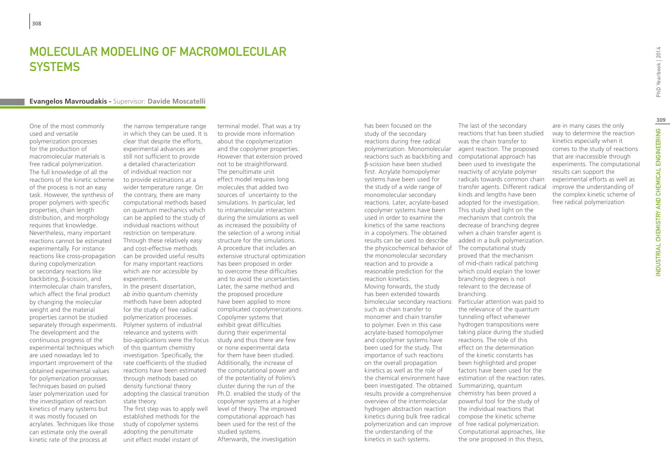# MOLECULAR MODELING OF MACROMOLECULAR **SYSTEMS**

#### **Evangelos Mavroudakis -** Supervisor: **Davide Moscatelli**

One of the most commonly used and versatile polymerization processes for the production of macromolecular materials is free radical polymerization. The full knowledge of all the reactions of the kinetic scheme of the process is not an easy task. However, the synthesis of proper polymers with specific properties, chain length distribution, and morphology requires that knowledge. Nevertheless, many important reactions cannot be estimated experimentally. For instance reactions like cross-propagation during copolymerization or secondary reactions like backbiting, β-scission, and intermolecular chain transfers, which affect the final product by changing the molecular weight and the material properties cannot be studied separately through experiments. The development and the continuous progress of the experimental techniques which are used nowadays led to important improvement of the obtained experimental values for polymerization processes. Techniques based on pulsed laser polymerization used for the investigation of reaction kinetics of many systems but it was mostly focused on acrylates. Techniques like those can estimate only the overall kinetic rate of the process at

the narrow temperature range in which they can be used. It is clear that despite the efforts, experimental advances are still not sufficient to provide a detailed characterization of individual reaction nor to provide estimations at a wider temperature range. On the contrary, there are many computational methods based on quantum mechanics which can be applied to the study of individual reactions without restriction on temperature. Through these relatively easy and cost-effective methods can be provided useful results for many important reactions which are nor accessible by experiments.

In the present dissertation, *ab initio* quantum chemisty methods have been adopted for the study of free radical polymerization processes. Polymer systems of industrial relevance and systems with bio-applications were the focus of this quantum chemistry investigation. Specifically, the rate coefficients of the studied reactions have been estimated through methods based on density functional theory adopting the classical transition state theory.

The first step was to apply well established methods for the study of copolymer systems adopting the penultimate unit effect model instant of

terminal model. That was a try to provide more information about the copolymerization and the copolymer properties. However that extension proved not to be straightforward. The penultimate unit effect model requires long molecules that added two sources of uncertainty to the simulations. In particular, led to intramolecular interaction during the simulations as well as increased the possibility of the selection of a wrong initial structure for the simulations. A procedure that includes an extensive structural optimization has been proposed in order to overcome these difficulties and to avoid the uncertainties. Later, the same method and the proposed procedure have been applied to more complicated copolymerizations. Copolymer systems that exhibit great difficulties during their experimental study and thus there are few or none experimental data for them have been studied. Additionally, the increase of the computational power and of the potentiality of Polimi's cluster during the run of the Ph.D. enabled the study of the copolymer systems at a higher level of theory. The improved computational approach has been used for the rest of the studied systems. Afterwards, the investigation

has been focused on the study of the secondary reactions during free radical polymerization. Monomolecular reactions such as backbiting and β-scission have been studied first. Acrylate homopolymer systems have been used for the study of a wide range of monomolecular secondary reactions. Later, acrylate-based copolymer systems have been used in order to examine the kinetics of the same reactions in a copolymers. The obtained results can be used to describe the physicochemical behavior of The computational study the monomolecular secondary reaction and to provide a reasonable prediction for the reaction kinetics. Moving forwards, the study has been extended towards such as chain transfer to monomer and chain transfer to polymer. Even in this case acrylate-based homopolymer and copolymer systems have been used for the study. The importance of such reactions on the overall propagation kinetics as well as the role of the chemical environment have been investigated. The obtained Summarizing, quantum results provide a comprehensive overview of the intermolecular hydrogen abstraction reaction kinetics during bulk free radical polymerization and can improve of free radical polymerization. the understanding of the kinetics in such systems.

bimolecular secondary reactions Particular attention was paid to The last of the secondary reactions that has been studied was the chain transfer to agent reaction. The proposed computational approach has been used to investigate the reactivity of acrylate polymer radicals towards common chain transfer agents. Different radical kinds and lengths have been adopted for the investigation. This study shed light on the mechanism that controls the decrease of branching degree when a chain transfer agent is added in a bulk polymerization. proved that the mechanism of mid-chain radical patching which could explain the lower branching degrees is not relevant to the decrease of branching. the relevance of the quantum tunneling effect whenever hydrogen transpositions were taking place during the studied reactions. The role of this effect on the determination of the kinetic constants has been highlighted and proper factors have been used for the estimation of the reaction rates. chemistry has been proved a powerful tool for the study of the individual reactions that compose the kinetic scheme Computational approaches, like the one proposed in this thesis,

are in many cases the only way to determine the reaction kinetics especially when it comes to the study of reactions that are inaccessible through experiments. The computational results can support the experimental efforts as well as improve the understanding of the complex kinetic scheme of free radical polymerization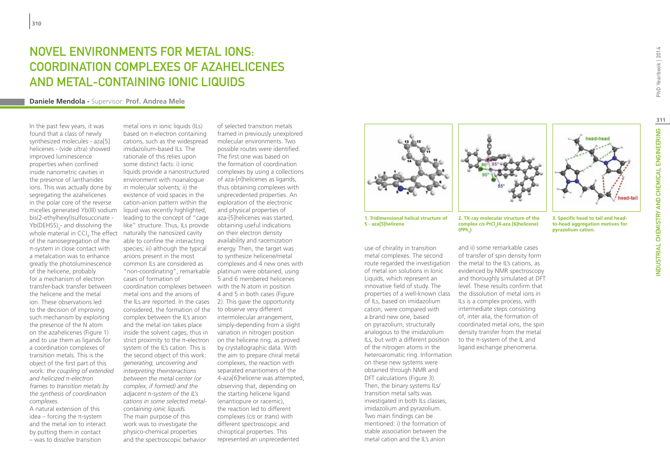# Novel environments for metal ions: coordination complexes of azahelicenes and metal-containing ionic liquids

#### **Daniele Mendola -** Supervisor: **Prof. Andrea Mele**

In the past few years, it was found that a class of newly synthesized molecules - aza[5] helicenes - (vide ultra) showed improved luminescence properties when confined inside nanometric cavities in the presence of lanthanides ions. This was actually done by segregating the azahelicenes in the polar core of the reverse micelles generated Yb(III) sodium bis(2-ethylhexyl)sulfosuccinate -  $Yb(DEHSS)_{3}$ - and dissolving the whole material in  $\text{CCI}_4$ . The effect naturally the nanosized cavity of the nanosegregation of the π-system in close contact with a metalcation was to enhance greatly the photoluminescence of the helicene, probably for a mechanism of electron transfer-back transfer between the helicene and the metal ion. These observations led to the decision of improving such mechanism by exploiting the presence of the N atom on the azahelicenes (Figure 1) and to use them as ligands for a coordination complexes of transition metals. This is the object of the first part of this work: *the coupling of extended and helicized* π*-electron frames to transition metals by the synthesis of coordination complexes.* 

A natural extension of this idea – forcing the π-system and the metal ion to interact by putting them in contact – was to dissolve transition

metal ions in ionic liquids (ILs) based on π-electron containing cations, such as the widespread imidazolium-based ILs. The rationale of this relies upon some distinct facts: i) ionic liquids provide a nanostructured environment with noanalogue in molecular solvents; ii) the existence of void spaces in the cation-anion pattern within the liquid was recently highlighted, leading to the concept of "cage like" structure. Thus, ILs provide able to confine the interacting species; iii) although the typical anions present in the most common ILs are considered as "non-coordinating", remarkable cases of formation of coordination complexes between with the N atom in position metal ions and the anions of considered, the formation of the to observe very different complex between the IL's anion and the metal ion takes place inside the solvent cages, thus in strict proximity to the π-electron system of the IL's cation. This is the second object of this work: *generating, uncovering and interpreting theinteractions between the metal center (or complex, if formed) and the adjacent* π*-system of the IL's cations in some selected metalcontaining ionic liquids.*  The main purpose of this work was to investigate the

physico-chemical properties and the spectroscopic behavior

the ILs are reported. In the cases 2). This gave the opportunity of selected transition metals framed in previously unexplored molecular environments. Two possible routes were identified. The first one was based on the formation of coordination complexes by using a collections of aza-[*n*]helicenes as ligands, thus obtaining complexes with unprecedented properties. An exploration of the electronic and physical properties of aza-[5]helicenes was started, obtaining useful indications on their electron density availability and racemization energy. Then, the target was to synthesize helicene/metal complexes and 4 new ones with platinum were obtained, using 5 and 6 membered helicenes 4 and 5 in both cases (Figure intermolecular arrangement, simply-depending from a slight variation in nitrogen position on the helicene ring, as proved by crystallographic data. With the aim to prepare chiral metal complexes, the reaction with separated enantiomers of the 4-aza[6]helicene was attempted, observing that, depending on the starting helicene ligand (enantiopure or racemic), the reaction led to different complexes (*cis* or *trans*) with different spectroscopic and chiroptical properties. This represented an unprecedented



**1. Tridimensional helical structure of 5 - aza[5]helicene**

use of chirality in transition metal complexes. The second route regarded the investigation of metal ion solutions in Ionic Liquids, which represent an innovative field of study. The properties of a well-known class of ILs, based on imidazolium cation, were compared with a brand new one, based on pyrazolium, structurally analogous to the imidazolium ILs, but with a different position of the nitrogen atoms in the heteroaromatic ring. Information on these new systems were obtained through NMR and DFT calculations (Figure 3). Then, the binary systems ILs/ transition metal salts was investigated in both ILs classes, imidazolium and pyrazolium. Two main findings can be mentioned: i) the formation of stable association between the metal cation and the IL's anion



and ii) some remarkable cases of transfer of spin density form the metal to the IL's cations, as evidenced by NMR spectroscopy and thoroughly simulated at DFT level. These results confirm that the dissolution of metal ions in ILs is a complex process, with intermediate steps consisting of, inter alia, the formation of coordinated metal ions, the spin density transfer from the metal to the π-system of the IL and ligand exchange phenomena.

**2. TX-ray molecular structure of the complex** *cis***-PtCl2 (4-aza [6]helicene)**

**(PPh3 )**



**3. Specific head to tail and headto-head aggregation motives for pyrazolium cation.**

**311**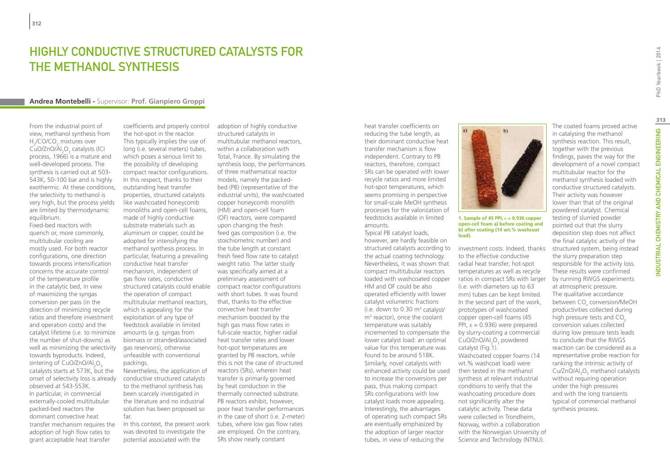### Highly Conductive Structured Catalysts for the Methanol Synthesis

#### **Andrea Montebelli -** Supervisor: **Prof. Gianpiero Groppi**

From the industrial point of view, methanol synthesis from  $H_2$ /CO/CO<sub>2</sub> mixtures over CuO/ZnO/Al<sub>2</sub>O<sub>3</sub> catalysts (ICI process, 1966) is a mature and well-developed process. The synthesis is carried out at 503- 543K, 50-100 bar and is highly exothermic. At these conditions, the selectivity to methanol is very high, but the process yields are limited by thermodynamic equilibrium.

Fixed-bed reactors with quench or, more commonly, multitubular cooling are mostly used. For both reactor configurations, one direction towards process intensification concerns the accurate control of the temperature profile in the catalytic bed, in view of maximizing the syngas conversion per pass (in the direction of minimizing recycle ratios and therefore investment and operation costs) and the catalyst lifetime (i.e. to minimize the number of shut-downs) as well as minimizing the selectivity towards byproducts. Indeed, sintering of CuO/ZnO/Al $_{2}$ O $_{3}$ catalysts starts at 573K, but the onset of selectivity loss is already observed at 543-553K. In particular, in commercial externally-cooled multitubular packed-bed reactors the dominant convective heat transfer mechanism requires the adoption of high flow rates to grant acceptable heat transfer

coefficients and properly control the hot-spot in the reactor. This typically implies the use of long (i.e. several meters) tubes, which poses a serious limit to the possibility of developing compact reactor configurations. In this respect, thanks to their outstanding heat transfer properties, structured catalysts like washcoated honeycomb monoliths and open-cell foams, made of highly conductive substrate materials such as aluminum or copper, could be adopted for intensifying the methanol synthesis process. In particular, featuring a prevailing conductive heat transfer mechanism, independent of gas flow rates, conductive structured catalysts could enable compact reactor configurations the operation of compact multitubular methanol reactors, which is appealing for the exploitation of any type of feedstock available in limited amounts (e.g. syngas from biomass or stranded/associated gas reservoirs), otherwise unfeasible with conventional packings.

Nevertheless, the application of conductive structured catalysts to the methanol synthesis has been scarcely investigated in the literature and no industrial solution has been proposed so far.

In this context, the present work was devoted to investigate the potential associated with the

adoption of highly conductive structured catalysts in multitubular methanol reactors, within a collaboration with Total, France. By simulating the synthesis loop, the performances of three mathematical reactor models, namely the packedbed (PB) (representative of the industrial units), the washcoated copper honeycomb monolith (HM) and open-cell foam (OF) reactors, were compared upon changing the fresh feed gas composition (i.e. the stoichiometric number) and the tube length at constant fresh feed flow rate to catalyst weight ratio. The latter study was specifically aimed at a preliminary assessment of with short tubes. It was found that, thanks to the effective convective heat transfer mechanism boosted by the high gas mass flow rates in full-scale reactor, higher radial heat transfer rates and lower hot-spot temperatures are granted by PB reactors, while this is not the case of structured reactors (SRs), wherein heat transfer is primarily governed by heat conduction in the thermally connected substrate. PB reactors exhibit, however, poor heat transfer performances in the case of short (i.e. 2-meter) tubes, where low gas flow rates are employed. On the contrary, SRs show nearly constant

heat transfer coefficients on reducing the tube length, as their dominant conductive heat transfer mechanism is flow independent. Contrary to PB reactors, therefore, compact SRs can be operated with lower recycle ratios and more limited hot-spot temperatures, which seems promising in perspective for small-scale MeOH synthesis processes for the valorization of feedstocks available in limited amounts.

Typical PB catalyst loads, however, are hardly feasible on structured catalysts according to the actual coating technology. Nevertheless, it was shown that compact multitubular reactors loaded with washcoated copper HM and OF could be also operated efficiently with lower catalyst volumetric fractions (i.e. down to 0.30 m<sup>3</sup> catalyst/ m3 reactor), once the coolant temperature was suitably incremented to compensate the lower catalyst load: an optimal value for this temperature was found to be around 518K. Similarly, novel catalysts with enhanced activity could be used to increase the conversions per pass, thus making compact SRs configurations with low catalyst loads more appealing. Interestingly, the advantages of operating such compact SRs are eventually emphasized by the adoption of larger reactor tubes, in view of reducing the



 $b)$ 

#### **1. Sample of 45 PPI, ε = 0.936 copper open-cell foam a) before coating and b) after coating (14 wt.% washcoat load).**

investment costs. Indeed, thanks to the effective conductive radial heat transfer, hot-spot temperatures as well as recycle ratios in compact SRs with larger (i.e. with diameters up to 63 mm) tubes can be kept limited. In the second part of the work, prototypes of washcoated copper open-cell foams (45 PPI, ε = 0.936) were prepared by slurry-coating a commercial  $CuO/ZnO/Al<sub>2</sub>O<sub>3</sub>$  powdered catalyst (Fig.1). Washcoated copper foams (14 wt.% washcoat load) were then tested in the methanol synthesis at relevant industrial conditions to verify that the washcoating procedure does not significantly alter the catalytic activity. These data were collected in Trondheim, Norway, within a collaboration with the Norwegian University of Science and Technology (NTNU).

The coated foams proved active in catalysing the methanol synthesis reaction. This result, together with the previous findings, paves the way for the development of a novel compact multitubular reactor for the methanol synthesis loaded with conductive structured catalysts. Their activity was however lower than that of the original powdered catalyst. Chemical testing of slurried powder pointed out that the slurry deposition step does not affect the final catalytic activity of the structured system, being instead the slurry preparation step responsible for the activity loss. These results were confirmed by running RWGS experiments at atmospheric pressure. The qualitative accordance between CO<sub>x</sub> conversion/MeOH productivities collected during high pressure tests and  $CO<sub>2</sub>$ conversion values collected during low pressure tests leads to conclude that the RWGS reaction can be considered as a representative probe reaction for ranking the intrinsic activity of Cu/ZnO/Al<sub>2</sub>O<sub>3</sub> methanol catalysts without requiring operation under the high pressures and with the long transients typical of commercial methanol synthesis process.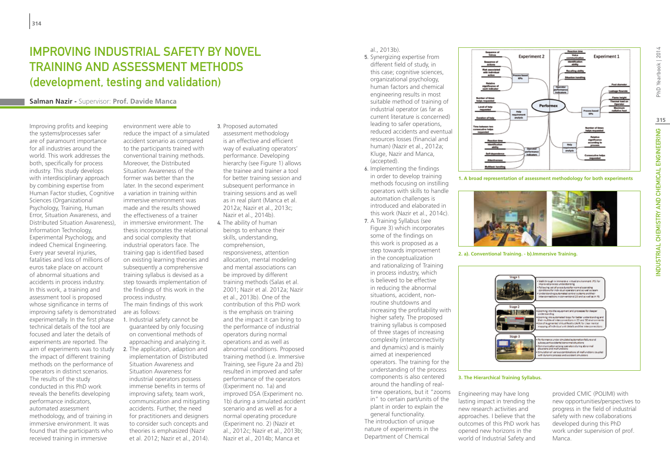# Improving Industrial Safety by Novel Training and Assessment Methods (development, testing and validation)

#### **Salman Nazir -** Supervisor: **Prof. Davide Manca**

Improving profits and keeping the systems/processes safer are of paramount importance for all industries around the world. This work addresses the both, specifically for process industry. This study develops with interdisciplinary approach by combining expertise from Human Factor studies, Cognitive Sciences (Organizational Psychology, Training, Human Error, Situation Awareness, and Distributed Situation Awareness), Information Technology, Experimental Psychology, and indeed Chemical Engineering. Every year several injuries, fatalities and loss of millions of euros take place on account of abnormal situations and accidents in process industry. In this work, a training and assessment tool is proposed whose significance in terms of improving safety is demonstrated experimentally. In the first phase technical details of the tool are focused and later the details of experiments are reported. The aim of experiments was to study the impact of different training methods on the performance of operators in distinct scenarios. The results of the study conducted in this PhD work reveals the benefits developing performance indicators, automated assessment methodology, and of training in immersive environment. It was found that the participants who received training in immersive

environment were able to reduce the impact of a simulated accident scenario as compared to the participants trained with conventional training methods. Moreover, the Distributed Situation Awareness of the former was better than the later. In the second experiment a variation in training within immersive environment was made and the results showed the effectiveness of a trainer in immersive environment. The thesis incorporates the relational and social complexity that industrial operators face. The training gap is identified based on existing learning theories and subsequently a comprehensive training syllabus is devised as a step towards implementation of the findings of this work in the process industry. The main findings of this work are as follows: 1. Industrial safety cannot be

- guaranteed by only focusing on conventional methods of approaching and analyzing it.
- 2. The application, adaption and implementation of Distributed Situation Awareness and Situation Awareness for industrial operators possess immense benefits in terms of improving safety, team work, communication and mitigating accidents. Further, the need for practitioners and designers to consider such concepts and theories is emphasized (Nazir et al. 2012; Nazir et al., 2014).
- 3. Proposed automated assessment methodology is an effective and efficient way of evaluating operators' performance. Developing hierarchy (see Figure 1) allows the trainee and trainer a tool for better training session and subsequent performance in training sessions and as well as in real plant (Manca et al. 2012a; Nazir et al., 2013c; Nazir et al., 2014b).
- 4. The ability of human beings to enhance their skills, understanding, comprehension, responsiveness, attention allocation, mental modeling and mental associations can be improved by different training methods (Salas et al. 2001; Nazir et al. 2012a; Nazir et al., 2013b). One of the contribution of this PhD work is the emphasis on training and the impact it can bring to the performance of industrial operators during normal operations and as well as abnormal conditions. Proposed training method (i.e. Immersive Training, see Figure 2a and 2b) resulted in improved and safer performance of the operators (Experiment no. 1a) and improved DSA (Experiment no. 1b) during a simulated accident scenario and as well as for a normal operating procedure (Experiment no. 2) (Nazir et al., 2012c; Nazir et al., 2013b; Nazir et al., 2014b; Manca et

al., 2013b).

- 5. Synergizing expertise from different field of study, in this case; cognitive sciences, organizational psychology, human factors and chemical engineering results in most suitable method of training of industrial operator (as far as current literature is concerned) leading to safer operations, reduced accidents and eventual resources losses (financial and human) (Nazir et al., 2012a; Kluge, Nazir and Manca, (accepted).
- 6. Implementing the findings in order to develop training methods focusing on instilling operators with skills to handle automation challenges is introduced and elaborated in this work (Nazir et al., 2014c).
- 7. A Training Syllabus (see Figure 3) which incorporates some of the findings on this work is proposed as a step towards improvement in the conceptualization and rationalizing of Training in process industry, which is believed to be effective in reducing the abnormal situations, accident, nonroutine shutdowns and increasing the profitability with higher safety. The proposed training syllabus is composed of three stages of increasing complexity (interconnectivity and dynamics) and is mainly aimed at inexperienced operators. The training for the understanding of the process components is also centered around the handling of realtime operations, but it "zooms in" to certain part/units of the plant in order to explain the general functionality. The introduction of unique nature of experiments in the Department of Chemical



**1. A broad representation of assessment methodology for both experiments**



**2. a). Conventional Training. - b).Immersive Training.**



Manca.

#### **3. The Hierarchical Training Syllabus.**

Engineering may have long lasting impact in trending the new research activities and approaches. I believe that the outcomes of this PhD work has opened new horizons in the world of Industrial Safety and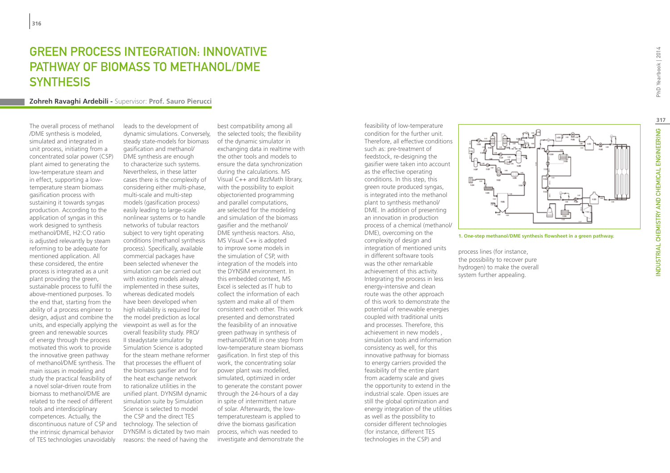# Green process integration: innovative pathway of biomass to Methanol/DME **SYNTHESIS**

#### **Zohreh Ravaghi Ardebili -** Supervisor: **Prof. Sauro Pierucci**

The overall process of methanol /DME synthesis is modeled, simulated and integrated in unit process, initiating from a concentrated solar power (CSP) plant aimed to generating the low-temperature steam and in effect, supporting a lowtemperature steam biomass gasification process with sustaining it towards syngas production. According to the application of syngas in this work designed to synthesis methanol/DME, H2:CO ratio is adjusted relevantly by steam reforming to be adequate for mentioned application. All these considered, the entire process is integrated as a unit plant providing the green, sustainable process to fulfil the above-mentioned purposes. To the end that, starting from the ability of a process engineer to design, adjust and combine the units, and especially applying the viewpoint as well as for the green and renewable sources of energy through the process motivated this work to provide the innovative green pathway of methanol/DME synthesis. The main issues in modeling and study the practical feasibility of a novel solar-driven route from biomass to methanol/DME are related to the need of different tools and interdisciplinary competences. Actually, the discontinuous nature of CSP and the intrinsic dynamical behavior of TES technologies unavoidably

leads to the development of dynamic simulations. Conversely, the selected tools; the flexibility steady state-models for biomass gasification and methanol/ DME synthesis are enough to characterize such systems. Nevertheless, in these latter cases there is the complexity of considering either multi-phase, multi-scale and multi-step models (gasification process) easily leading to large-scale nonlinear systems or to handle networks of tubular reactors subject to very tight operating conditions (methanol synthesis process). Specifically, available commercial packages have been selected whenever the simulation can be carried out with existing models already implemented in these suites, whereas dedicated models have been developed when high reliability is required for the model prediction as local overall feasibility study. PRO/ II steadystate simulator by Simulation Science is adopted for the steam methane reformer that processes the effluent of the biomass gasifier and for the heat exchange network to rationalize utilities in the unified plant. DYNSIM dynamic simulation suite by Simulation Science is selected to model the CSP and the direct TES technology. The selection of DYNSIM is dictated by two main reasons: the need of having the

best compatibility among all of the dynamic simulator in exchanging data in realtime with the other tools and models to ensure the data synchronization during the calculations. MS Visual C++ and BzzMath library, with the possibility to exploit objectoriented programming and parallel computations, are selected for the modeling and simulation of the biomass gasifier and the methanol/ DME synthesis reactors. Also, MS Visual C++ is adopted to improve some models in the simulation of CSP, with integration of the models into the DYNSIM environment. In this embedded context, MS Excel is selected as IT hub to collect the information of each system and make all of them consistent each other. This work presented and demonstrated the feasibility of an innovative green pathway in synthesis of methanol/DME in one step from low-temperature steam biomass gasification. In first step of this work, the concentrating solar power plant was modelled, simulated, optimized in order to generate the constant power through the 24-hours of a day in spite of intermittent nature of solar. Afterwards, the lowtemperaturesteam is applied to drive the biomass gasification process, which was needed to investigate and demonstrate the

feasibility of low-temperature condition for the further unit. Therefore, all effective conditions such as: pre-treatment of feedstock, re-designing the gasifier were taken into account as the effective operating conditions. In this step, this green route produced syngas, is integrated into the methanol plant to synthesis methanol/ DME. In addition of presenting an innovation in production process of a chemical (methanol/ DME), overcoming on the complexity of design and integration of mentioned units in different software tools was the other remarkable achievement of this activity. Integrating the process in less energy-intensive and clean route was the other approach of this work to demonstrate the potential of renewable energies coupled with traditional units and processes. Therefore, this achievement in new models , simulation tools and information consistency as well, for this innovative pathway for biomass to energy carriers provided the feasibility of the entire plant from academy scale and gives the opportunity to extend in the industrial scale. Open issues are still the global optimization and energy integration of the utilities as well as the possibility to consider different technologies (for instance, different TES technologies in the CSP) and



**1. One-step methanol/DME synthesis flowsheet in a green pathway.** 

process lines (for instance, the possibility to recover pure hydrogen) to make the overall system further appealing.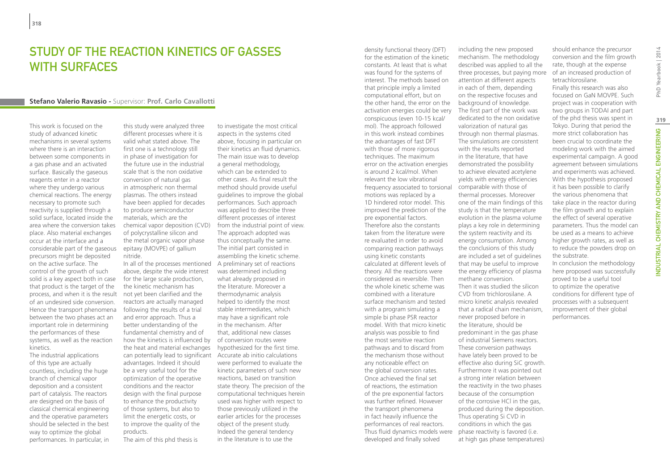### STUDY OF THE REACTION KINETICS OF GASSES WITH SURFACES

#### **Stefano Valerio Ravasio -** Supervisor: **Prof. Carlo Cavallotti**

This work is focused on the study of advanced kinetic mechanisms in several systems where there is an interaction between some components in a gas phase and an activated surface. Basically the gaseous reagents enter in a reactor where they undergo various chemical reactions. The energy necessary to promote such reactivity is supplied through a solid surface, located inside the area where the conversion takes place. Also material exchanges occur at the interface and a considerable part of the gaseous precursors might be deposited on the active surface. The control of the growth of such solid is a key aspect both in case that product is the target of the process, and when it is the result of an undesired side conversion. Hence the transport phenomena between the two phases act an important role in determining the performances of these systems, as well as the reaction kinetics.

The industrial applications of this type are actually countless, including the huge branch of chemical vapor deposition and a consistent part of catalysis. The reactors are designed on the basis of classical chemical engineering and the operative parameters should be selected in the best way to optimize the global performances. In particular, in

this study were analyzed three different processes where it is valid what stated above. The first one is a technology still in phase of investigation for the future use in the industrial scale that is the non oxidative conversion of natural gas in atmospheric non thermal plasmas. The others instead have been applied for decades to produce semiconductor materials, which are the chemical vapor deposition (CVD) of polycrystalline silicon and the metal organic vapor phase epitaxy (MOVPE) of gallium nitride.

In all of the processes mentioned above, despite the wide interest for the large scale production, the kinetic mechanism has not yet been clarified and the reactors are actually managed following the results of a trial and error approach. Thus a better understanding of the fundamental chemistry and of how the kinetics is influenced by the heat and material exchanges can potentially lead to significant Accurate ab initio calculations advantages. Indeed it should be a very useful tool for the optimization of the operative conditions and the reactor design with the final purpose to enhance the productivity of those systems, but also to limit the energetic costs, or to improve the quality of the products.

The aim of this phd thesis is

to investigate the most critical aspects in the systems cited above, focusing in particular on their kinetics an fluid dynamics. The main issue was to develop a general methodology, which can be extended to other cases. As final result the method should provide useful guidelines to improve the global performances. Such approach was applied to describe three different processes of interest from the industrial point of view. The approach adopted was thus conceptually the same. The initial part consisted in assembling the kinetic scheme. A preliminary set of reactions was determined including what already proposed in the literature. Moreover a thermodynamic analysis helped to identify the most stable intermediates, which may have a significant role in the mechanism. After that, additional new classes of conversion routes were hypothesized for the first time. were performed to evaluate the kinetic parameters of such new reactions, based on transition state theory. The precision of the computational techniques herein used was higher with respect to those previously utilized in the earlier articles for the processes object of the present study. Indeed the general tendency in the literature is to use the

density functional theory (DFT) for the estimation of the kinetic constants. At least that is what was found for the systems of interest. The methods based on that principle imply a limited computational effort, but on the other hand, the error on the background of knowledge. activation energies could be very conspicuous (even 10-15 kcal/ mol). The approach followed in this work instead combines the advantages of fast DFT with those of more rigorous techniques. The maximum error on the activation energies is around 2 kcal/mol. When relevant the low vibrational frequency associated to torsional comparable with those of motions was replaced by a 1D hindered rotor model. This improved the prediction of the pre exponential factors. Therefore also the constants taken from the literature were re evaluated in order to avoid comparing reaction pathways using kinetic constants calculated at different levels of theory. All the reactions were considered as reversible. Then the whole kinetic scheme was combined with a literature surface mechanism and tested with a program simulating a simple bi phase PSR reactor model. With that micro kinetic analysis was possible to find the most sensitive reaction pathways and to discard from the mechanism those without any noticeable effect on the global conversion rates. Once achieved the final set of reactions, the estimation of the pre exponential factors was further refined. However the transport phenomena in fact heavily influence the performances of real reactors. Thus fluid dynamics models were phase reactivity is favored (i.e. developed and finally solved

including the new proposed mechanism. The methodology described was applied to all the three processes, but paying more attention at different aspects in each of them, depending on the respective focuses and The first part of the work was dedicated to the non oxidative valorization of natural gas through non thermal plasmas. The simulations are consistent with the results reported in the literature, that have demonstrated the possibility to achieve elevated acetylene yields with energy efficiencies thermal processes. Moreover one of the main findings of this study is that the temperature evolution in the plasma volume plays a key role in determining the system reactivity and its energy consumption. Among the conclusions of this study are included a set of guidelines that may be useful to improve the energy efficiency of plasma methane conversion. Then it was studied the silicon CVD from trichlorosilane. A micro kinetic analysis revealed that a radical chain mechanism, never proposed before in the literature, should be predominant in the gas phase of industrial Siemens reactors. These conversion pathways have lately been proved to be effective also during SiC growth. Furthermore it was pointed out a strong inter relation between the reactivity in the two phases because of the consumption of the corrosive HCl in the gas, produced during the deposition. Thus operating Si CVD in conditions in which the gas at high gas phase temperatures)

PhD Yearbook | 2014

to reduce the powders drop on the substrate. In conclusion the methodology here proposed was successfully proved to be a useful tool to optimize the operative conditions for different type of processes with a subsequent improvement of their global performances.

should enhance the precursor conversion and the film growth rate, though at the expense of an increased production of

Finally this research was also focused on GaN MOVPE. Such project was in cooperation with two groups in TODAI and part of the phd thesis was spent in Tokyo. During that period the more strict collaboration has been crucial to coordinate the modeling work with the aimed experimental campaign. A good agreement between simulations and experiments was achieved. With the hypothesis proposed it has been possible to clarify the various phenomena that take place in the reactor during the film growth and to explain the effect of several operative parameters. Thus the model can be used as a means to achieve higher growth rates, as well as

tetrachlorosilane.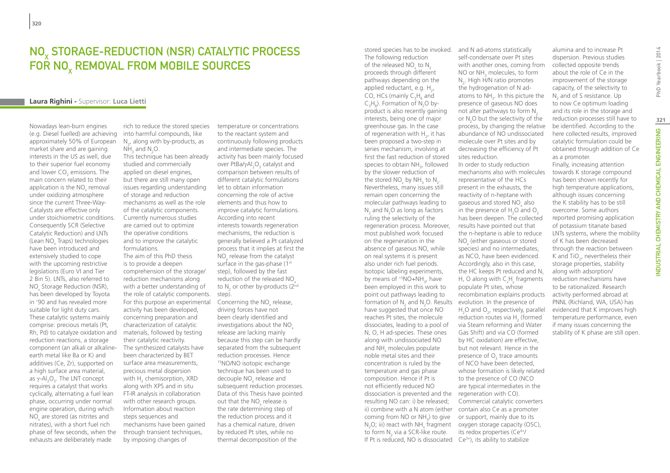### NOx storage-reduction (NSR) catalytic process FOR NO<sub>y</sub> REMOVAL FROM MOBILE SOURCES

#### **Laura Righini -** Supervisor: **Luca Lietti**

Nowadays lean-burn engines (e.g. Diesel fuelled) are achieving approximately 50% of European market share and are gaining interests in the US as well, due to their superior fuel economy and lower  $\mathsf{CO}_2$  emissions. The main concern related to their application is the  $\rm NO_{x}$  removal under oxidizing atmosphere since the current Three-Way-Catalysts are effective only under stoichiometric conditions. Consequently SCR (Selective Catalytic Reduction) and LNTs (Lean NO<sub>x</sub> Traps) technologies have been introduced and extensively studied to cope with the upcoming restrictive legislations (Euro VI and Tier 2 Bin 5). LNTs, also referred to NO<sub>x</sub> Storage Reduction (NSR), has been developed by Toyota in '90 and has revealed more suitable for light duty cars. These catalytic systems mainly comprise: precious metals (Pt, Rh, Pd) to catalyze oxidation and reduction reactions, a storage component (an alkali or alkalineearth metal like Ba or K) and additives (Ce, Zr), supported on a high surface area material, as γ-Al<sub>2</sub>O<sub>3</sub>. The LNT concept requires a catalyst that works cyclically, alternating a fuel lean phase, occurring under normal engine operation, during which  $NO<sub>x</sub>$  are stored (as nitrites and nitrates), with a short fuel rich phase of few seconds, when the exhausts are deliberately made

rich to reduce the stored species into harmful compounds, like  $N_{2}$ , along with by-products, as  $NH<sub>3</sub>$  and N<sub>2</sub>O.

This technique has been already studied and commercially applied on diesel engines, but there are still many open issues regarding understanding of storage and reduction mechanisms as well as the role of the catalytic components. Currently numerous studies are carried out to optimize the operative conditions and to improve the catalytic formulations.

The aim of this PhD thesis is to provide a deepen comprehension of the storage/ reduction mechanisms along with a better understanding of the role of catalytic components. For this purpose an experimental activity has been developed, concerning preparation and characterization of catalytic materials, followed by testing their catalytic reactivity. The synthesized catalysts have been characterized by BET surface area measurements, precious metal dispersion with  $\textsf{H}_{\textsf{2}}$  chemisorption, XRD along with XPS and in situ FT-IR analysis in collaboration with other research groups. Information about reaction steps sequences and mechanisms have been gained through transient techniques, by imposing changes of

temperature or concentrations to the reactant system and continuously following products and intermediate species. The activity has been mainly focused over PtBa/γAl<sub>2</sub>O<sub>3</sub> catalyst and comparison between results of different catalytic formulations let to obtain information concerning the role of active elements and thus how to improve catalytic formulations. According into recent interests towards regeneration mechanisms, the reduction is generally believed a Pt catalyzed process that it implies at first the  $NO_{x}$  release from the catalyst surface in the gas-phase (1<sup>st</sup>) step), followed by the fast reduction of the released NO<sub>x</sub> to N<sub>2</sub> or other by-products (2<sup>nd</sup> step).

Concerning the  $NO<sub>x</sub>$  release, driving forces have not been clearly identified and investigations about the NO release are lacking mainly because this step can be hardly separated from the subsequent reduction processes. Hence 15NO/NO isotopic exchange technique has been used to decouple NO<sub>x</sub> release and subsequent reduction processes. Data of this Thesis have pointed out that the  $\rm NO_x$  release is the rate determining step of the reduction process and it has a chemical nature, driven by reduced Pt sites, while no thermal decomposition of the

stored species has to be invoked. and N ad-atoms statistically The following reduction of the released NO<sub>x</sub> to N<sub>2</sub> proceeds through different pathways depending on the applied reductant, e.g.  $H_{2}$ , CO, HCs (mainly  $C_3H_6$  and  $C_3H_8$ ). Formation of N<sub>2</sub>O byproduct is also recently gaining interests, being one of major greenhouse gas. In the case of regeneration with  $H_{2}$ , it has been proposed a two-step in series mechanism, involving at first the fast reduction of stored species to obtain NH<sub>3</sub>, followed by the slower reduction of the stored  $NO_x$  by  $NH_3$  to  $N_2$ . Nevertheless, many issues still remain open concerning the molecular pathways leading to  $N_2$  and  $N_2$ O as long as factors ruling the selectivity of the regeneration process. Moreover, most published work focused on the regeneration in the absence of gaseous NO, while on real systems it is present also under rich fuel periods. Isotopic labeling experiments, by means of <sup>15</sup>NO+NH<sub>3</sub>, have been employed in this work to point out pathways leading to formation of  $N_2$  and  $N_2$ O. Results evolution. In the presence of have suggested that once NO reaches Pt sites, the molecule dissociates, leading to a pool of N, O, H ad-species. These ones along with undissociated NO and  $NH_{x}$  molecules populate noble metal sites and their concentration is ruled by the temperature and gas phase composition. Hence if Pt is not efficiently reduced NO dissociation is prevented and the regeneration with CO). resulting NO can: i) be released; ii) combine with a N atom (either contain also Ce as a promoter coming from NO or  $NH_3$ ) to give  $N_2$ O; iii) react with  $NH_x$  fragment to form  $N_2$  via a SCR-like route. If Pt is reduced, NO is dissociated  $Ce^{3+}$ , its ability to stabilize

self-condensate over Pt sites with another ones, coming from NO or  $NH<sub>3</sub>$  molecules, to form  $N<sub>2</sub>$ . High H/N ratio promotes the hydrogenation of N adatoms to  $NH<sub>3</sub>$ . In this picture the presence of gaseous NO does not alter pathways to form  $N<sub>2</sub>$ or  $N_2$ O but the selectivity of the process, by changing the relative abundance of NO undissociated molecule over Pt sites and by decreasing the efficiency of Pt sites reduction. In order to study reduction mechanisms also with molecules representative of the HCs present in the exhausts, the reactivity of n-heptane with gaseous and stored  $NO_x$  also in the presence of  $H_2O$  and  $O_2$ has been deepen. The collected results have pointed out that the n-heptane is able to reduce  $NO<sub>x</sub>$  (either gaseous or stored species) and no intermediates, as NCO, have been evidenced. Accordingly, also in this case, the HC keeps Pt reduced and N, H, O along with  $C_xH_y$  fragments populate Pt sites, whose recombination explains products  $H<sub>2</sub>O$  and  $O<sub>2</sub>$ , respectively, parallel reduction routes via  $H_2$  (formed via Steam reforming and Water Gas Shift) and via CO (formed by HC oxidation) are effective, but not relevant. Hence in the presence of  $O<sub>2</sub>$  trace amounts of NCO have been detected, whose formation is likely related to the presence of CO (NCO are typical intermediates in the Commercial catalytic converters or support, mainly due to its oxygen storage capacity (OSC), its redox properties (Ce4+/

alumina and to increase Pt dispersion. Previous studies collected opposite trends about the role of Ce in the improvement of the storage capacity, of the selectivity to  $N_2$  and of S resistance. Up to now Ce optimum loading and its role in the storage and reduction processes still have to be identified. According to the here collected results, improved catalytic formulation could be obtained through addition of Ce as a promoter.

Finally, increasing attention towards K storage compound has been shown recently for high temperature applications, although issues concerning the K stability has to be still overcome. Some authors reported promising application of potassium titanate based LNTs systems, where the mobility of K has been decreased through the reaction between K and  $TiO<sub>2</sub>$ , nevertheless their storage properties, stability along with adsorption/ reduction mechanisms have to be rationalized. Research activity performed abroad at PNNL (Richland, WA, USA) has evidenced that K improves high temperature performance, even if many issues concerning the stability of K phase are still open.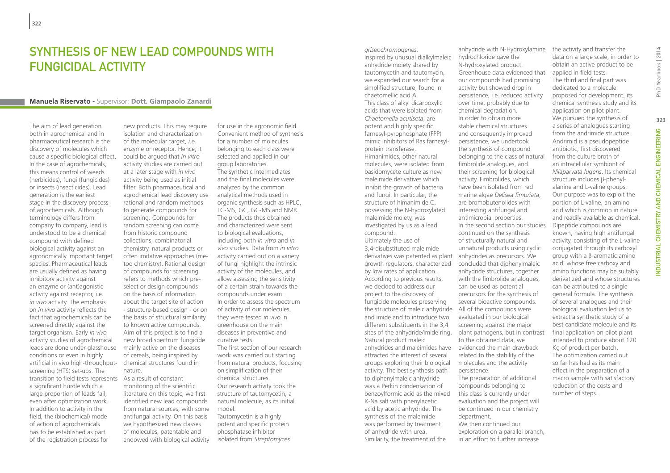# Synthesis of new lead compounds with fungicidal activity

#### **Manuela Riservato -** Supervisor: **Dott. Giampaolo Zanardi**

The aim of lead generation both in agrochemical and in pharmaceutical research is the discovery of molecules which cause a specific biological effect. In the case of agrochemicals, this means control of weeds (herbicides), fungi (fungicides) or insects (insecticides). Lead generation is the earliest stage in the discovery process of agrochemicals. Although terminology differs from company to company, lead is understood to be a chemical compound with defined biological activity against an agronomically important target species. Pharmaceutical leads are usually defined as having inhibitory activity against an enzyme or (ant)agonistic activity against receptor, i.e. *in vivo* activity. The emphasis on *in vivo* activity reflects the fact that agrochemicals can be screened directly against the target organism. Early *in vivo* activity studies of agrochemical leads are done under glasshouse conditions or even in highly artificial in vivo high-throughput-chemical structures found in screening (HTS) set-ups. The transition to field tests represents a significant hurdle which a large proportion of leads fail, even after optimization work. In addition to activity in the field, the (biochemical) mode of action of agrochemicals has to be established as part of the registration process for

new products. This may require isolation and characterization of the molecular target, *i.e.* enzyme or receptor. Hence, it could be argued that *in vitro* activity studies are carried out at a later stage with *in vivo* activity being used as initial filter. Both pharmaceutical and agrochemical lead discovery use rational and random methods to generate compounds for screening. Compounds for random screening can come from historic compound collections, combinatorial chemistry, natural products or often imitative approaches (metoo chemistry). Rational design of compounds for screening refers to methods which preselect or design compounds on the basis of information about the target site of action - structure-based design - or on the basis of structural similarity to known active compounds. Aim of this project is to find a new broad spectrum fungicide mainly active on the diseases of cereals, being inspired by nature.

As a result of constant monitoring of the scientific literature on this topic, we first identified new lead compounds from natural sources, with some antifungal activity. On this basis we hypothesized new classes of molecules, patentable and endowed with biological activity

for use in the agronomic field. Convenient method of synthesis for a number of molecules belonging to each class were selected and applied in our group laboratories. The synthetic intermediates and the final molecules were analyzed by the common analytical methods used in organic synthesis such as HPLC, LC-MS, GC, GC-MS and NMR. The products thus obtained and characterized were sent to biological evaluations, including both *in vitro* and *in vivo* studies. Data from *in vitro* activity carried out on a variety of fungi highlight the intrinsic activity of the molecules, and allow assessing the sensitivity of a certain strain towards the compounds under exam. In order to assess the spectrum of activity of our molecules, they were tested *in vivo* in greenhouse on the main diseases in preventive and curative tests. The first section of our research work was carried out starting from natural products, focusing on simplification of their chemical structures. Our research activity took the structure of tautomycetin, a natural molecule, as its initial model. Tautomycetin is a highly potent and specific protein

phosphatase inhibitor isolated from *Streptomyces*  Inspired by unusual dialkylmaleic anhydride moiety shared by tautomycetin and tautomycin, we expanded our search for a simplified structure, found in chaetomellic acid A. This class of alkyl dicarboxylic acids that were isolated from *Chaetomella acutiseta*, are potent and highly specific farnesyl-pyrophosphate (FPP) mimic inhibitors of Ras farnesylprotein transferase. Himanimides, other natural molecules, were isolated from basidomycete culture as new maleimide derivatives which inhibit the growth of bacteria and fungi. In particular, the structure of himanimide C, possessing the N-hydroxylated maleimide moiety, was investigated by us as a lead compound. Ultimately the use of 3,4-disubstituted maleimide derivatives was patented as plant anhydrides as precursors. We growth regulators, characterized by low rates of application. According to previous results, we decided to address our project to the discovery of fungicide molecules preserving the structure of maleic anhydride All of the compounds were and imide and to introduce two different substituents in the 3,4 sites of the anhydride/imide ring. Natural product maleic anhydrides and maleimides have attracted the interest of several groups exploring their biological activity. The best synthesis path to diphenylmaleic anhydride was a Perkin condensation of benzoylformic acid as the mixed K-Na salt with phenylacetic acid by acetic anhydride. The synthesis of the maleimide was performed by treatment of anhydride with urea. Similarity, the treatment of the

*griseochromogenes.*

anhydride with N-Hydroxylamine hydrochloride gave the N-hydroxylated product. Greenhouse data evidenced that our compounds had promising activity but showed drop in persistence, i.e. reduced activity over time, probably due to chemical degradation. In order to obtain more stable chemical structures and consequently improved persistence, we undertook the synthesis of compound belonging to the class of natural fimbrolide analogues, and their screening for biological activity. Fimbrolides, which have been isolated from red marine algae *Delisea fimbriata*, are bromobutenolides with interesting antifungal and antimicrobial properties. In the second section our studies continued on the synthesis of structurally natural and unnatural products using cyclic concluded that diphenylmaleic anhydride structures, together with the fimbrolide analogues, can be used as potential precursors for the synthesis of several bioactive compounds. evaluated in our biological screening against the major plant pathogens, but in contrast to the obtained data, we evidenced the main drawback related to the stability of the molecules and the activity persistence. The preparation of additional compounds belonging to this class is currently under evaluation and the project will be continued in our chemistry department. We then continued our exploration on a parallel branch, in an effort to further increase

the activity and transfer the data on a large scale, in order to obtain an active product to be applied in field tests The third and final part was dedicated to a molecule proposed for development, its chemical synthesis study and its application on pilot plant. We pursued the synthesis of a series of analogues starting from the andrimide structure. Andrimid is a pseudopeptide antibiotic, first discovered from the culture broth of an intracellular symbiont of *Nilaparvata lugens*. Its chemical structure includes β-phenylalanine and L-valine groups. Our purpose was to exploit the portion of L-valine, an amino acid which is common in nature and readily available as chemical. Dipeptide compounds are known, having high antifungal activity, consisting of the L-valine conjugated through its carboxyl group with a β-aromatic amino acid, whose free carboxy and amino functions may be suitably derivatized and whose structures can be attributed to a single general formula. The synthesis of several analogues and their biological evaluation led us to extract a synthetic study of a best candidate molecule and its final application on pilot plant intended to produce about 120 Kg of product per batch. The optimization carried out so far has had as its main effect in the preparation of a macro sample with satisfactory reduction of the costs and number of steps.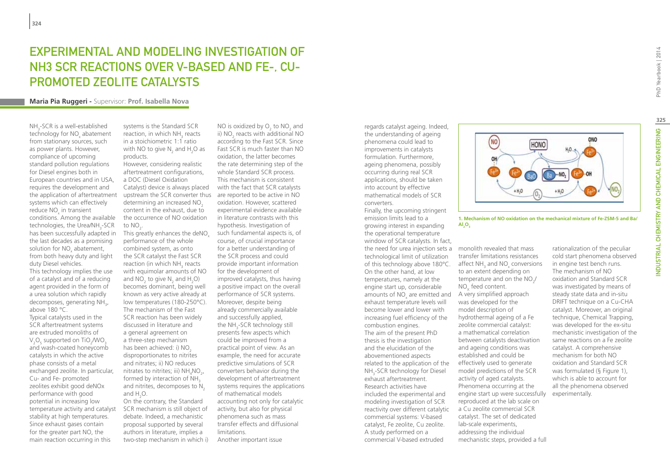# Experimental and Modeling Investigation of NH3 SCR reactions over V-based and Fe-, Cupromoted zeolite catalysts

### **Maria Pia Ruggeri -** Supervisor: **Prof. Isabella Nova**

 $NH_{3}$ -SCR is a well-established technology for NO<sub>x</sub> abatement from stationary sources, such as power plants. However, compliance of upcoming standard pollution regulations for Diesel engines both in European countries and in USA, requires the development and the application of aftertreatment systems which can effectively reduce NO<sub>x</sub> in transient conditions. Among the available  $t$ echnologies, the Urea/NH<sub>3</sub>-SCR has been successfully adapted in the last decades as a promising solution for  $NO_{x}$  abatement, from both heavy duty and light duty Diesel vehicles. This technology implies the use

of a catalyst and of a reducing agent provided in the form of a urea solution which rapidly decomposes, generating NH<sub>3</sub>, above 180 °C.

Typical catalysts used in the SCR aftertreatment systems are extruded monoliths of  $V_2O_5$  supported on TiO<sub>2</sub>/WO<sub>3</sub> and wash-coated honeycomb catalysts in which the active phase consists of a metal exchanged zeolite. In particular, Cu- and Fe- promoted zeolites exhibit good deNOx performance with good potential in increasing low temperature activity and catalyst stability at high temperatures. Since exhaust gases contain for the greater part NO, the main reaction occurring in this

systems is the Standard SCR reaction, in which  $NH<sub>3</sub>$  reacts in a stoichiometric 1:1 ratio with NO to give  $N_2$  and H<sub>2</sub>O as products.

However, considering realistic aftertreatment configurations, a DOC (Diesel Oxidation Catalyst) device is always placed upstream the SCR converter thus determining an increased  $NO<sub>2</sub>$ content in the exhaust, due to the occurrence of NO oxidation to  $NO<sub>2</sub>$ .

This greatly enhances the deNO<sub>x</sub> performance of the whole combined system, as onto the SCR catalyst the Fast SCR reaction (in which  $NH<sub>3</sub>$  reacts with equimolar amounts of NO and  $NO_2$  to give  $N_2$  and  $H_2$ O) becomes dominant, being well known as very active already at low temperatures (180-250°C). The mechanism of the Fast SCR reaction has been widely discussed in literature and a general agreement on a three-step mechanism has been achieved: i) NO<sub>2</sub> disproportionates to nitrites and nitrates; ii) NO reduces nitrates to nitrites; iii)  $NH_4NO_2$ , formed by interaction of  $NH<sub>3</sub>$ and nitrites, decomposes to  $N<sub>2</sub>$ and  $H_2O$ .

On the contrary, the Standard SCR mechanism is still object of debate. Indeed, a mechanistic proposal supported by several authors in literature, implies a two-step mechanism in which i)

NO is oxidized by  $O_2$  to NO<sub>2</sub> and ii) NO<sub>2</sub> reacts with additional NO according to the Fast SCR. Since Fast SCR is much faster than NO oxidation, the latter becomes the rate determining step of the whole Standard SCR process. This mechanism is consistent with the fact that SCR catalysts are reported to be active in NO oxidation. However, scattered experimental evidence available in literature contrasts with this hypothesis. Investigation of such fundamental aspects is, of course, of crucial importance for a better understanding of the SCR process and could provide important information for the development of improved catalysts, thus having a positive impact on the overall performance of SCR systems. Moreover, despite being already commercially available and successfully applied, the NH $_{\textrm{\tiny{3}}}$ -SCR technology still presents few aspects which could be improved from a practical point of view. As an example, the need for accurate predictive simulations of SCR converters behavior during the development of aftertreatment systems requires the applications of mathematical models accounting not only for catalytic activity, but also for physical phenomena such as mass transfer effects and diffusional limitations. Another important issue

regards catalyst ageing. Indeed, the understanding of ageing phenomena could lead to improvements in catalysts formulation. Furthermore, ageing phenomena, possibly occurring during real SCR applications, should be taken into account by effective mathematical models of SCR converters. Finally, the upcoming stringent

emission limits lead to a growing interest in expanding the operational temperature window of SCR catalysts. In fact, the need for urea injection sets a monolith revealed that mass technological limit of utilization of this technology above 180°C. affect  $NH<sub>3</sub>$  and  $NO<sub>x</sub>$  conversions On the other hand, at low temperatures, namely at the engine start up, considerable amounts of  $NO<sub>x</sub>$  are emitted and  $\top$  A very simplified approach exhaust temperature levels will become lower and lower with increasing fuel efficiency of the combustion engines. The aim of the present PhD thesis is the investigation and the elucidation of the abovementioned aspects related to the application of the NH<sub>3</sub>-SCR technology for Diesel exhaust aftertreatment. Research activities have included the experimental and modeling investigation of SCR reactivity over different catalytic commercial systems: V-based catalyst, Fe zeolite, Cu zeolite. A study performed on a commercial V-based extruded



**1. Mechanism of NO oxidation on the mechanical mixture of Fe-ZSM-5 and Ba/**  $AI<sub>2</sub>O<sub>3</sub>$ 

transfer limitations resistances to an extent depending on temperature and on the  $NO<sub>2</sub>/$ NO<sub>v</sub> feed content. was developed for the model description of hydrothermal ageing of a Fe zeolite commercial catalyst: a mathematical correlation between catalysts deactivation and ageing conditions was established and could be effectively used to generate model predictions of the SCR activity of aged catalysts. Phenomena occurring at the engine start up were successfully experimentally. reproduced at the lab scale on a Cu zeolite commercial SCR catalyst. The set of dedicated lab-scale experiments,

addressing the individual mechanistic steps, provided a full rationalization of the peculiar cold start phenomena observed in engine test bench runs. The mechanism of NO oxidation and Standard SCR was investigated by means of steady state data and in-situ DRIFT technique on a Cu-CHA catalyst. Moreover, an original technique, Chemical Trapping, was developed for the ex-situ mechanistic investigation of the same reactions on a Fe zeolite catalyst. A comprehensive mechanism for both NO oxidation and Standard SCR was formulated (§ Figure 1), which is able to account for all the phenomena observed

**325**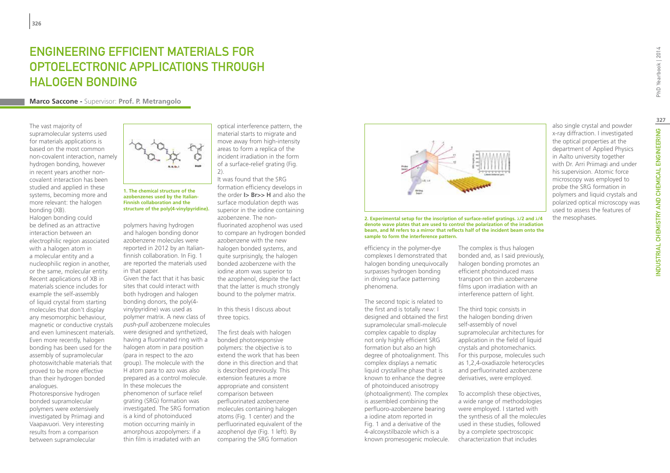# Engineering efficient materials for optoelectronic applications through halogen bonding

**Marco Saccone -** Supervisor: **Prof. P. Metrangolo**

The vast majority of supramolecular systems used for materials applications is based on the most common non-covalent interaction, namely hydrogen bonding, however in recent years another noncovalent interaction has been studied and applied in these systems, becoming more and more relevant: the halogen bonding (XB).

Halogen bonding could be defined as an attractive interaction between an electrophilic region associated with a halogen atom in a molecular entity and a nucleophilic region in another, or the same, molecular entity. Recent applications of XB in materials science includes for example the self-assembly of liquid crystal from starting molecules that don't display any mesomorphic behaviour, magnetic or conductive crystals and even luminescent materials. Even more recently, halogen bonding has been used for the assembly of supramolecular photoswitchable materials that proved to be more effective than their hydrogen bonded analogues.

Photoresponsive hydrogen bonded supramolecular polymers were extensively investigated by Priimagi and Vaapavuori. Very interesting results from a comparison between supramolecular



**1. The chemical structure of the azobenzenes used by the Italian-Finnish collaboration and the structure of the poly(4-vinylpyridine).**

polymers having hydrogen and halogen bonding donor azobenzene molecules were reported in 2012 by an Italianfinnish collaboration. In Fig. 1 are reported the materials used in that paper. Given the fact that it has basic sites that could interact with both hydrogen and halogen bonding donors, the poly(4 vinylpyridine) was used as polymer matrix. A new class of *push-pull* azobenzene molecules were designed and synthetized, having a fluorinated ring with a halogen atom in para position (para in respect to the azo group). The molecule with the H atom para to azo was also prepared as a control molecule. In these molecues the phenomenon of surface relief grating (SRG) formation was investigated. The SRG formation is a kind of photoinduced motion occurring mainly in

amorphous azopolymers: if a thin film is irradiated with an

optical interference pattern, the material starts to migrate and move away from high-intensity areas to form a replica of the incident irradiation in the form of a surface-relief grating (Fig. 2).

It was found that the SRG formation efficiency develops in the order **I> Br>> H** and also the surface modulation depth was superior in the iodine containing azobenzene. The nonfluorinated azophenol was used to compare an hydrogen bonded azobenzene with the new halogen bonded systems, and quite surprisingly, the halogen bonded azobenzene with the iodine atom was superior to the azophenol, despite the fact that the latter is much strongly bound to the polymer matrix.

In this thesis I discuss about three topics.

The first deals with halogen bonded photoresponsive polymers: the objective is to extend the work that has been done in this direction and that is described previously. This extension features a more appropriate and consistent comparison between perfluorinated azobenzene molecules containing halogen atoms (Fig. 1 center) and the perfluorinated equivalent of the azophenol dye (Fig. 1 left). By comparing the SRG formation



**2. Experimental setup for the inscription of surface-relief gratings. λ/2 and λ/4 denote wave plates that are used to control the polarization of the irradiation beam, and M refers to a mirror that reflects half of the incident beam onto the sample to form the interference pattern.**

efficiency in the polymer-dye complexes I demonstrated that halogen bonding unequivocally surpasses hydrogen bonding in driving surface patterning phenomena.

The second topic is related to the first and is totally new: I designed and obtained the first supramolecular small-molecule complex capable to display not only highly efficient SRG formation but also an high degree of photoalignment. This complex displays a nematic liquid crystalline phase that is known to enhance the degree of photoinduced anisotropy (photoalignment). The complex is assembled combining the perfluoro-azobenzene bearing a iodine atom reported in Fig. 1 and a derivative of the 4-alcoxystilbazole which is a known promesogenic molecule.

The complex is thus halogen bonded and, as I said previously, halogen bonding promotes an efficient photoinduced mass transport on thin azobenzene films upon irradiation with an interference pattern of light.

The third topic consists in the halogen bonding driven self-assembly of novel supramolecular architectures for application in the field of liquid crystals and photomechanics. For this purpose, molecules such as 1,2,4-oxadiazole heterocycles and perfluorinated azobenzene derivatives, were employed.

To accomplish these objectives, a wide range of methodologies were employed. I started with the synthesis of all the molecules used in these studies, followed by a complete spectroscopic characterization that includes

also single crystal and powder x-ray diffraction. I investigated the optical properties at the department of Applied Physics in Aalto university together with Dr. Arri Priimagi and under his supervision. Atomic force microscopy was employed to probe the SRG formation in polymers and liquid crystals and polarized optical microscopy was used to assess the features of the mesophases.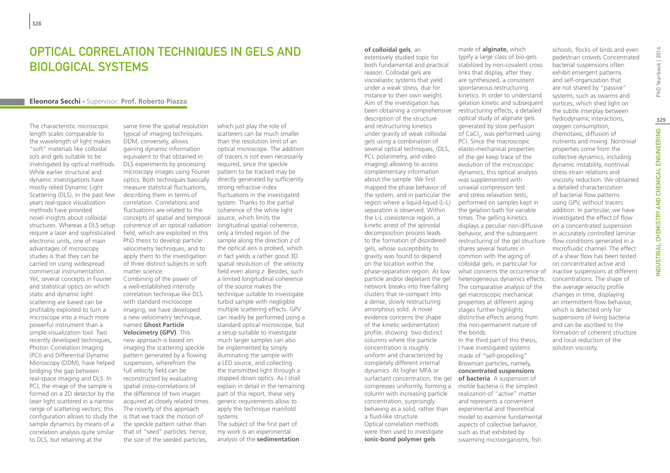### Optical correlation techniques in gels and biological systems

#### **Eleonora Secchi -** Supervisor: **Prof. Roberto Piazza**

The characteristic microscopic length scales comparable to the wavelength of light makes "soft" materials like colloidal sols and gels suitable to be investigated by optical methods. While earlier structural and dynamic investigations have mostly relied Dynamic Light Scattering (DLS), in the past few years real-space visualization methods have provided novel insights about colloidal structures. Whereas a DLS setup require a laser and sophisticated electronic units, one of main advantages of microscopy studies is that they can be carried on using widespread commercial instrumentation. Yet, several concepts in Fourier and statistical optics on which static and dynamic light scattering are based can be profitably exploited to turn a microscope into a much more powerful instrument than a simple visualization tool. Two recently developed techniques, Photon Correlation Imaging (PCI) and Differential Dynamic Microscopy (DDM), have helped bridging the gap between real-space imaging and DLS. In PCI, the image of the sample is formed on a 2D detector by the laser light scattered in a narrow range of scattering vectors; this configuration allows to study the sample dynamics by means of a correlation analysis quite similar to DLS, but retaining at the

same time the spatial resolution typical of imaging techniques. DDM, conversely, allows gaining dynamic information equivalent to that obtained in DLS experiments by processing microscopy images using Fourier optics. Both techniques basically measure statistical fluctuations, describing them in terms of correlation. Correlations and fluctuations are related to the concepts of spatial and temporal source, which limits the coherence of an optical radiation field, which are exploited in this PhD thesis to develop particle velocimetry techniques, and to apply them to the investigation of three distinct subjects in soft matter science. Combining of the power of a well-established intensity correlation technique like DLS with standard microscope imaging, we have developed a new velocimetry technique, named **Ghost Particle Velocimetry (GPV)**. This new approach is based on imaging the scattering speckle pattern generated by a flowing suspension, wherefrom the full velocity field can be reconstructed by evaluating spatial cross-correlations of the difference of two images acquired at closely related times. The novelty of this approach is that we track the motion of the speckle pattern rather than that of "seed" particles: hence, the size of the seeded particles,

which just play the role of scatterers can be much smaller than the resolution limit of an optical microscope. The addition of tracers is not even necessarily required, since the speckle pattern to be tracked may be directly generated by sufficiently strong refractive index fluctuations in the investigated system. Thanks to the partial coherence of the white light longitudinal spatial coherence, only a limited region of the sample along the direction *z* of the optical axis is probed, which in fact yields a rather good 3D spatial resolution of the velocity field even along *z*. Besides, such a limited longitudinal coherence of the source makes the technique suitable to investigate turbid sample with negligible multiple scattering effects. GPV can readily be performed using a standard optical microscope, but a setup suitable to investigate much larger samples can also be implemented by simply illuminating the sample with a LED source, and collecting the transmitted light through a stopped down optics. As I shall explain in detail in the remaining part of this report, these very generic requirements allow to apply the technique manifold systems. The subject of the first part of

my work is an experimental analysis of the **sedimentation** 

#### **of colloidal gels**, an

extensively studied topic for both fundamental and practical reason. Colloidal gels are viscoelastic systems that yield under a weak stress, due for instance to their own weight. Aim of the investigation has been obtaining a comprehensive restructuring effects, a detailed description of the structure and restructuring kinetics under gravity of weak colloidal gels using a combination of several optical techniques, (DLS, PCI, polarimetry, and video imaging) allowing to access complementary information about the sample. We first mapped the phase behavior of the system, and in particular the region where a liquid-liquid (L-L) separation is observed. Within the L-L coexistence region, a kinetic arrest of the spinodal decomposition process leads to the formation of disordered gels, whose susceptibility to gravity was found to depend on the location within the phase-separation region. At low particle and/or depletant the gel network breaks into free-falling clusters that re-compact into a dense, slowly restructuring amorphous solid. A novel evidence concerns the shape of the kinetic sedimentation profile, showing two distinct columns where the particle concentration is roughly uniform and characterized by completely different internal dynamics. At higher MFA or surfactant concentration, the gel compresses uniformly, forming a column with increasing particle concentration, surprisingly behaving as a solid, rather than a fluid-like structure. Optical correlation methods were then used to investigate **ionic-bond polymer gels** 

made of **alginate,** which typify a large class of bio-gels stabilized by non-covalent cross links that display, after they are synthesized, a consistent spontaneous restructuring kinetics. In order to understand gelation kinetic and subsequent optical study of alginate gels generated by slow perfusion of CaCl<sub>2</sub>, was performed using PCI. Since the macroscopic elasto-mechanical properties of the gel keep trace of the evolution of the microscopic dynamics, this optical analysis was supplemented with uniaxial compression test and stress relaxation tests, performed on samples kept in the gelation bath for variable times. The gelling kinetics displays a peculiar non-diffusive behavior, and the subsequent restructuring of the gel structure shares several features in common with the aging of colloidal gels, in particular for what concerns the occurrence of heterogeneous dynamics effects. The comparative analysis of the gel macroscopic mechanical properties at different aging stages further highlights distinctive effects arising from the non-permanent nature of the bonds. In the third part of this thesis, I have investigated systems made of "self-propelling" Brownian particles, namely, **concentrated suspensions of bacteria**. A suspension of

motile bacteria is the simplest realization of "active" matter and represents a convenient experimental and theoretical model to examine fundamental aspects of collective behavior, such as that exhibited by swarming microorganisms, fish

schools, flocks of birds and even pedestrian crowds. Concentrated bacterial suspensions often exhibit emergent patterns and self-organization that are not shared by "passive" systems, such as swarms and vortices, which shed light on the subtle interplay between hydrodynamic interactions, oxygen consumption, chemotaxis, diffusion of nutrients and mixing. Nontrivial properties come from the collective dynamics, including dynamic instability, nontrivial stress-strain relations and viscosity reduction. We obtained a detailed characterization of bacterial flow patterns using GPV, without tracers addition. In particular, we have investigated the effect of flow on a concentrated suspension in accurately controlled laminar flow conditions generated in a microfluidic channel. The effect of a shear flow has been tested on concentrated active and inactive suspensions at different concentrations. The shape of the average velocity profile changes in time, displaying an intermittent-flow behavior, which is detected only for suspensions of living bacteria and can be ascribed to the formation of coherent structure and local reduction of the solution viscosity.